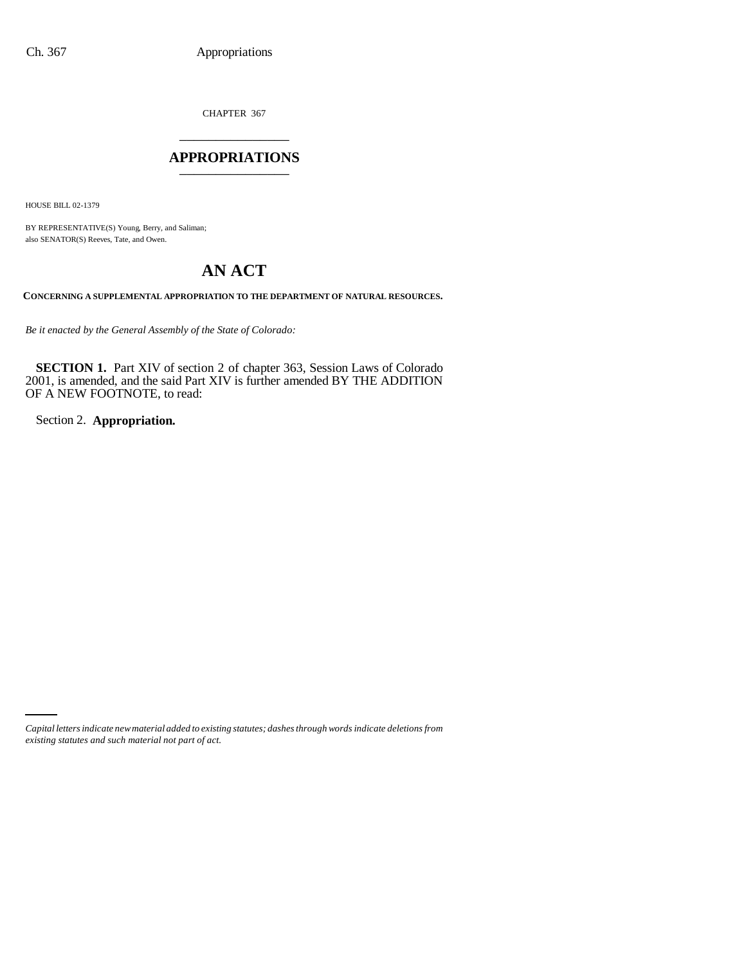CHAPTER 367 \_\_\_\_\_\_\_\_\_\_\_\_\_\_\_

## **APPROPRIATIONS** \_\_\_\_\_\_\_\_\_\_\_\_\_\_\_

HOUSE BILL 02-1379

BY REPRESENTATIVE(S) Young, Berry, and Saliman; also SENATOR(S) Reeves, Tate, and Owen.

# **AN ACT**

**CONCERNING A SUPPLEMENTAL APPROPRIATION TO THE DEPARTMENT OF NATURAL RESOURCES.**

*Be it enacted by the General Assembly of the State of Colorado:*

**SECTION 1.** Part XIV of section 2 of chapter 363, Session Laws of Colorado 2001, is amended, and the said Part XIV is further amended BY THE ADDITION OF A NEW FOOTNOTE, to read:

Section 2. **Appropriation.**

*Capital letters indicate new material added to existing statutes; dashes through words indicate deletions from existing statutes and such material not part of act.*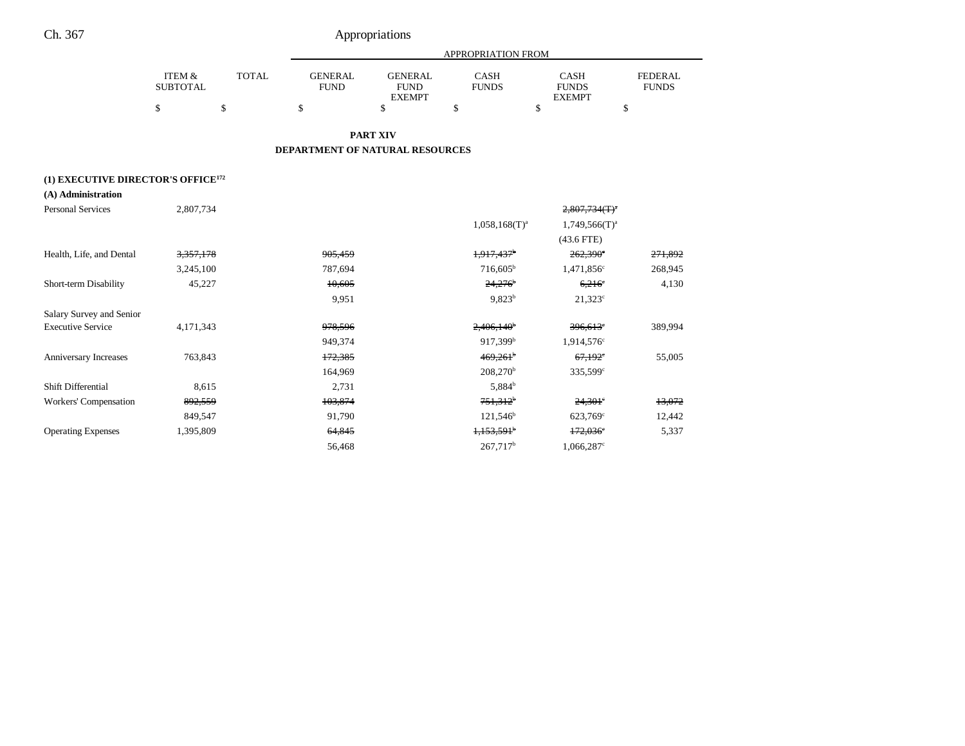|                 |              |                | APPROPRIATION FROM |              |               |              |  |
|-----------------|--------------|----------------|--------------------|--------------|---------------|--------------|--|
| ITEM &          | <b>TOTAL</b> | <b>GENERAL</b> | <b>GENERAL</b>     | CASH         | CASH          | FEDERAL      |  |
| <b>SUBTOTAL</b> |              | FUND           | <b>FUND</b>        | <b>FUNDS</b> | <b>FUNDS</b>  | <b>FUNDS</b> |  |
|                 |              |                | <b>EXEMPT</b>      |              | <b>EXEMPT</b> |              |  |
|                 |              |                |                    |              |               |              |  |

**PART XIV**

#### **DEPARTMENT OF NATURAL RESOURCES**

### **(1) EXECUTIVE DIRECTOR'S OFFICE172**

| (A) Administration |  |
|--------------------|--|
|                    |  |

| <b>Personal Services</b>  | 2,807,734            |         |                          | $2,807,734$ (T) <sup>a</sup> |         |
|---------------------------|----------------------|---------|--------------------------|------------------------------|---------|
|                           |                      |         | $1,058,168(T)^{a}$       | $1,749,566(T)^a$             |         |
|                           |                      |         |                          | $(43.6$ FTE)                 |         |
| Health, Life, and Dental  | <del>3,357,178</del> | 905,459 | 1,917,437 <sup>b</sup>   | $262,390^{\circ}$            | 271,892 |
|                           | 3,245,100            | 787,694 | $716,605^{\rm b}$        | 1,471,856 <sup>c</sup>       | 268,945 |
| Short-term Disability     | 45,227               | 10,605  | $24,276$ <sup>b</sup>    | $6,216^{\circ}$              | 4,130   |
|                           |                      | 9,951   | 9.823 <sup>b</sup>       | $21,323^c$                   |         |
| Salary Survey and Senior  |                      |         |                          |                              |         |
| <b>Executive Service</b>  | 4, 171, 343          | 978,596 | $2,406,140$ <sup>b</sup> | $396,613$ °                  | 389,994 |
|                           |                      | 949,374 | 917,399 <sup>b</sup>     | 1,914,576°                   |         |
| Anniversary Increases     | 763,843              | 172,385 | 469,261                  | 67,192                       | 55,005  |
|                           |                      | 164,969 | $208,270^{\rm b}$        | $335,599^{\circ}$            |         |
| Shift Differential        | 8,615                | 2,731   | 5,884 <sup>b</sup>       |                              |         |
| Workers' Compensation     | 892,559              | 103,874 | $751,312^{\circ}$        | $24,301$ <sup>e</sup>        | 13,072  |
|                           | 849,547              | 91,790  | $121,546^b$              | $623,769^{\circ}$            | 12,442  |
| <b>Operating Expenses</b> | 1,395,809            | 64,845  | $1,153,591$ <sup>b</sup> | $172,036^\circ$              | 5,337   |
|                           |                      | 56,468  | $267,717^b$              | 1,066,287°                   |         |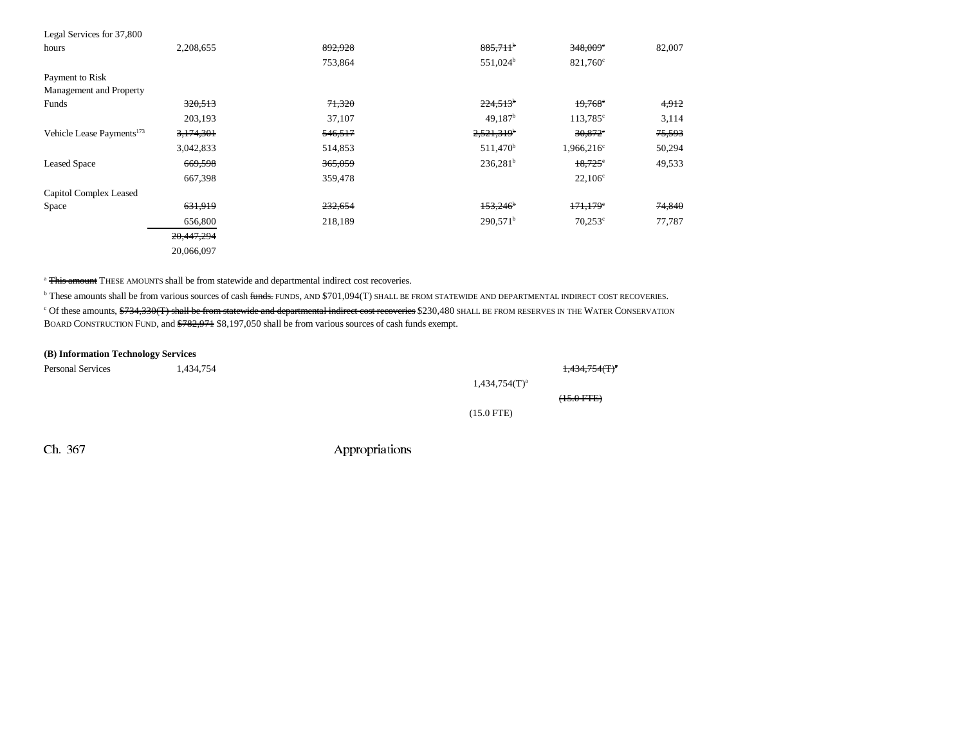| Legal Services for 37,800             |            |         |                          |                       |        |
|---------------------------------------|------------|---------|--------------------------|-----------------------|--------|
| hours                                 | 2,208,655  | 892,928 | $885,711$ <sup>b</sup>   | 348,009°              | 82,007 |
|                                       |            | 753,864 | 551,024 <sup>b</sup>     | 821,760°              |        |
| Payment to Risk                       |            |         |                          |                       |        |
| Management and Property               |            |         |                          |                       |        |
| Funds                                 | 320,513    | 71,320  | $224,513$ <sup>b</sup>   | $19,768^\circ$        | 4,912  |
|                                       | 203,193    | 37,107  | 49,187 <sup>b</sup>      | $113,785^{\circ}$     | 3,114  |
| Vehicle Lease Payments <sup>173</sup> | 3,174,301  | 546,517 | $2,521,319$ <sup>b</sup> | $30,872$ <sup>*</sup> | 75,593 |
|                                       | 3,042,833  | 514,853 | 511,470 <sup>b</sup>     | $1,966,216^{\circ}$   | 50,294 |
| <b>Leased Space</b>                   | 669,598    | 365,059 | $236,281^b$              | $18,725$ °            | 49,533 |
|                                       | 667,398    | 359,478 |                          | $22,106^{\circ}$      |        |
| Capitol Complex Leased                |            |         |                          |                       |        |
| Space                                 | 631,919    | 232,654 | $153,246$ <sup>b</sup>   | 171,179               | 74,840 |
|                                       | 656,800    | 218,189 | 290.571 <sup>b</sup>     | $70,253^{\circ}$      | 77,787 |
|                                       | 20,447,294 |         |                          |                       |        |
|                                       | 20,066,097 |         |                          |                       |        |

<sup>a</sup> This amount THESE AMOUNTS shall be from statewide and departmental indirect cost recoveries.

<sup>b</sup> These amounts shall be from various sources of cash funds. FUNDS, AND \$701,094(T) SHALL BE FROM STATEWIDE AND DEPARTMENTAL INDIRECT COST RECOVERIES. <sup>c</sup> Of these amounts, <del>\$734,330(T) shall be from statewide and departmental indirect cost recoveries</del> \$230,480 SHALL BE FROM RESERVES IN THE WATER CONSERVATION BOARD CONSTRUCTION FUND, and \$782,971 \$8,197,050 shall be from various sources of cash funds exempt.

#### **(B) Information Technology Services**

| <b>Personal Services</b> | 1,434,754 |                    | $1,434,754$ (T) <sup>a</sup> |
|--------------------------|-----------|--------------------|------------------------------|
|                          |           | $1,434,754(T)^{a}$ |                              |
|                          |           |                    | $(15.0$ FTE $)$              |
|                          |           | $(15.0$ FTE)       |                              |
|                          |           |                    |                              |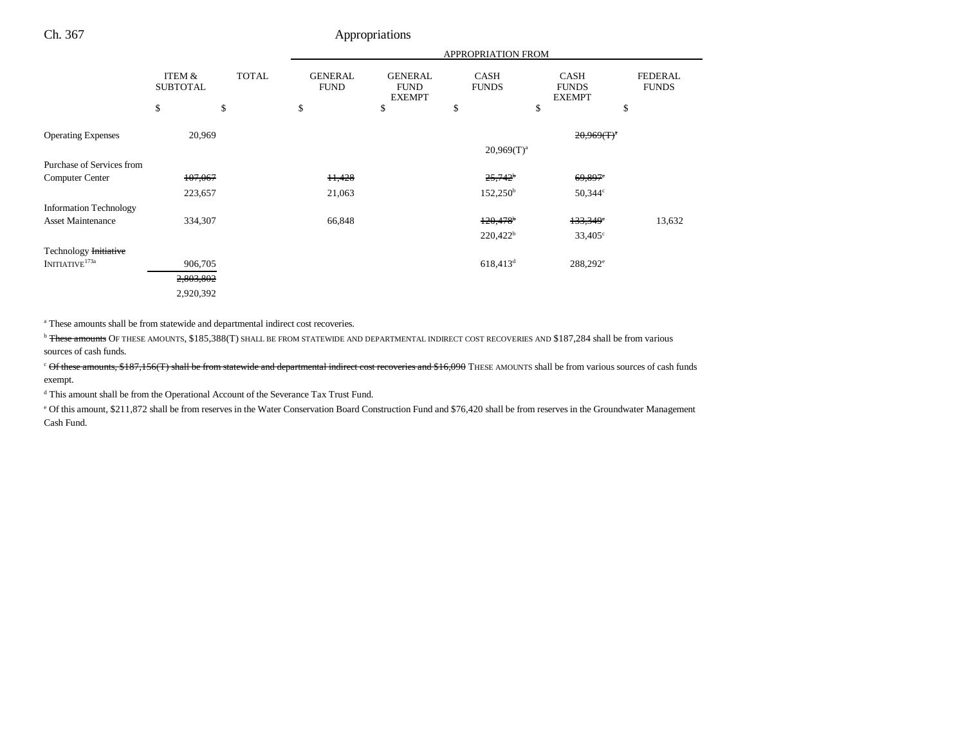|                               |                           |              | APPROPRIATION FROM            |                                                |                             |                                              |                                |
|-------------------------------|---------------------------|--------------|-------------------------------|------------------------------------------------|-----------------------------|----------------------------------------------|--------------------------------|
|                               | ITEM &<br><b>SUBTOTAL</b> | <b>TOTAL</b> | <b>GENERAL</b><br><b>FUND</b> | <b>GENERAL</b><br><b>FUND</b><br><b>EXEMPT</b> | <b>CASH</b><br><b>FUNDS</b> | <b>CASH</b><br><b>FUNDS</b><br><b>EXEMPT</b> | <b>FEDERAL</b><br><b>FUNDS</b> |
|                               | \$                        | \$           | \$                            | \$                                             | \$                          | \$                                           | \$                             |
| <b>Operating Expenses</b>     | 20,969                    |              |                               |                                                |                             | $20,969(f)^{n}$                              |                                |
|                               |                           |              |                               |                                                | $20,969(T)^a$               |                                              |                                |
| Purchase of Services from     |                           |              |                               |                                                |                             |                                              |                                |
| Computer Center               | 107,067                   |              | H <sub>3</sub> 428            |                                                | $25.742^b$                  | $69,897$ <sup>c</sup>                        |                                |
|                               | 223,657                   |              | 21,063                        |                                                | $152,250^{\rm b}$           | $50,344^{\circ}$                             |                                |
| <b>Information Technology</b> |                           |              |                               |                                                |                             |                                              |                                |
| <b>Asset Maintenance</b>      | 334,307                   |              | 66,848                        |                                                | $120,478$ <sup>b</sup>      | 133,349°                                     | 13,632                         |
|                               |                           |              |                               |                                                | $220,422^b$                 | $33,405^{\circ}$                             |                                |
| Technology Initiative         |                           |              |                               |                                                |                             |                                              |                                |
| $\text{INITIATIVE}^{173a}$    | 906,705                   |              |                               |                                                | $618,413$ <sup>d</sup>      | $288,292^e$                                  |                                |
|                               | 2,803,802                 |              |                               |                                                |                             |                                              |                                |
|                               | 2,920,392                 |              |                               |                                                |                             |                                              |                                |

a These amounts shall be from statewide and departmental indirect cost recoveries.

<sup>b</sup> These amounts OF THESE AMOUNTS, \$185,388(T) SHALL BE FROM STATEWIDE AND DEPARTMENTAL INDIRECT COST RECOVERIES AND \$187,284 shall be from various sources of cash funds.

<sup>c</sup> Of these amounts, \$187,156(T) shall be from statewide and departmental indirect cost recoveries and \$16,090 THESE AMOUNTS shall be from various sources of cash funds exempt.

d This amount shall be from the Operational Account of the Severance Tax Trust Fund.

e Of this amount, \$211,872 shall be from reserves in the Water Conservation Board Construction Fund and \$76,420 shall be from reserves in the Groundwater Management Cash Fund.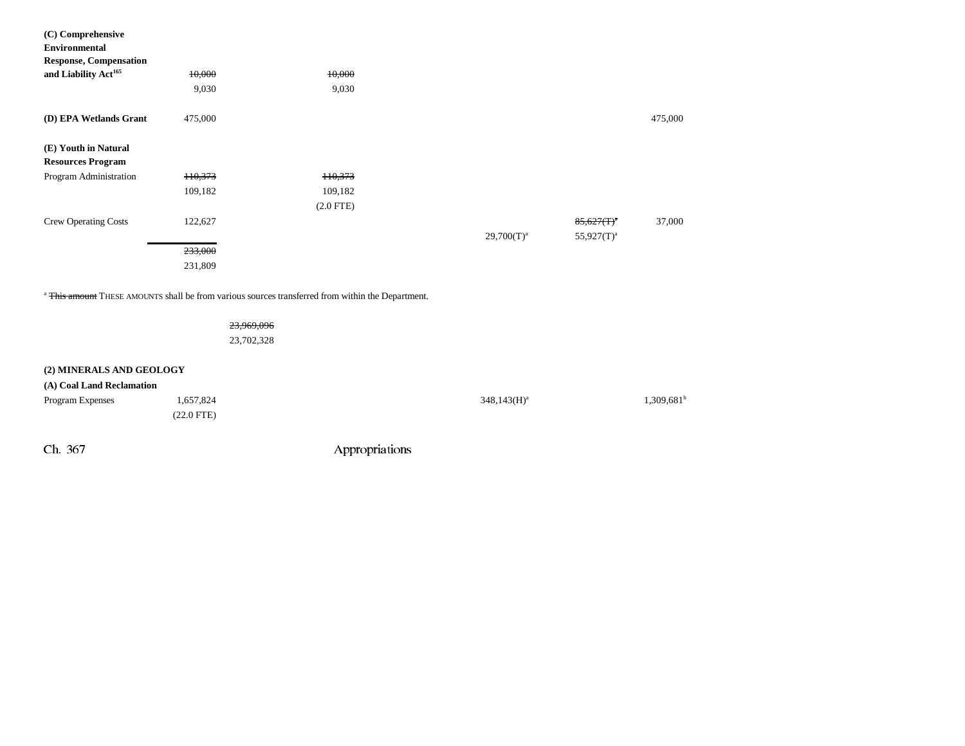| (C) Comprehensive                |                    |             |                 |               |         |
|----------------------------------|--------------------|-------------|-----------------|---------------|---------|
| <b>Environmental</b>             |                    |             |                 |               |         |
| <b>Response, Compensation</b>    |                    |             |                 |               |         |
| and Liability Act <sup>165</sup> | 10,000             | 10,000      |                 |               |         |
|                                  | 9,030              | 9,030       |                 |               |         |
| (D) EPA Wetlands Grant           | 475,000            |             |                 |               | 475,000 |
| (E) Youth in Natural             |                    |             |                 |               |         |
| <b>Resources Program</b>         |                    |             |                 |               |         |
| Program Administration           | <del>110,373</del> | 110,373     |                 |               |         |
|                                  | 109,182            | 109,182     |                 |               |         |
|                                  |                    | $(2.0$ FTE) |                 |               |         |
| <b>Crew Operating Costs</b>      | 122,627            |             |                 | $85,627(T)^4$ | 37,000  |
|                                  |                    |             | $29,700(T)^{a}$ | $55,927(T)^a$ |         |
|                                  | 233,000            |             |                 |               |         |
|                                  | 231,809            |             |                 |               |         |

<sup>a</sup> <del>This amount</del> THESE AMOUNTS shall be from various sources transferred from within the Department.

23,969,096 23,702,328

### **(2) MINERALS AND GEOLOGY**

| (A) Coal Land Reclamation |                      |                |                     |
|---------------------------|----------------------|----------------|---------------------|
| <b>Program Expenses</b>   | 1,657,824            | $348,143(H)^a$ | $1,309,681^{\circ}$ |
|                           | $(22.0 \text{ FTE})$ |                |                     |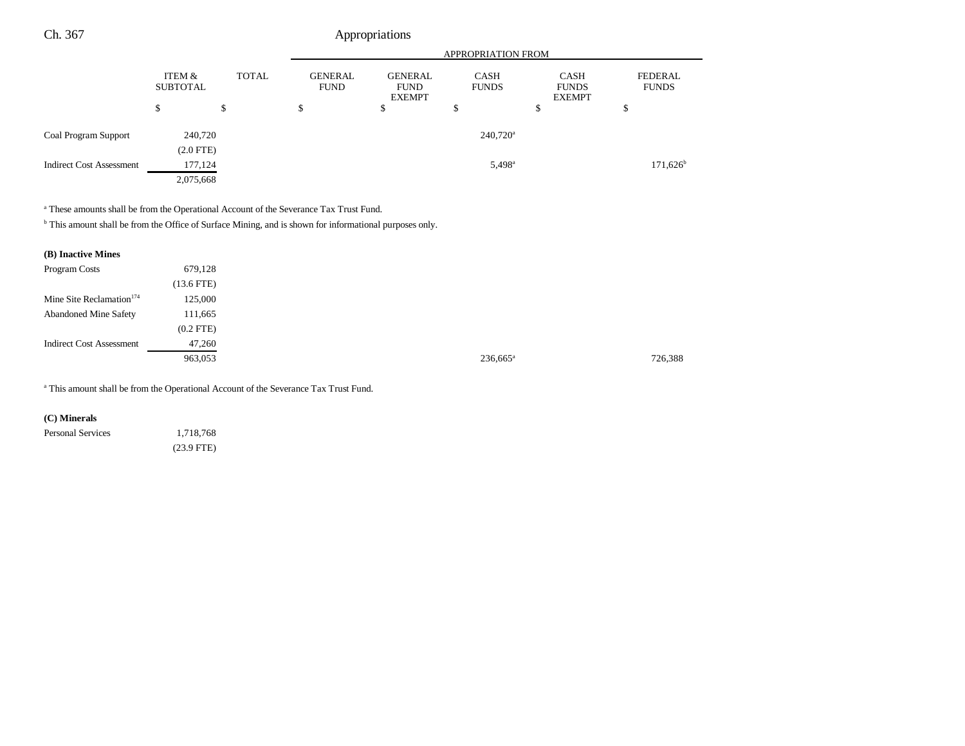|                                 | <b>APPROPRIATION FROM</b> |              |                               |                                                                               |                        |                                              |                                |
|---------------------------------|---------------------------|--------------|-------------------------------|-------------------------------------------------------------------------------|------------------------|----------------------------------------------|--------------------------------|
|                                 | ITEM &<br><b>SUBTOTAL</b> | <b>TOTAL</b> | <b>GENERAL</b><br><b>FUND</b> | <b>GENERAL</b><br><b>CASH</b><br><b>FUNDS</b><br><b>FUND</b><br><b>EXEMPT</b> |                        | <b>CASH</b><br><b>FUNDS</b><br><b>EXEMPT</b> | <b>FEDERAL</b><br><b>FUNDS</b> |
|                                 | \$                        | \$           | ¢<br>Ф                        | \$                                                                            | D                      | \$                                           | \$                             |
| Coal Program Support            | 240,720                   |              |                               |                                                                               | $240,720$ <sup>a</sup> |                                              |                                |
|                                 | $(2.0$ FTE $)$            |              |                               |                                                                               |                        |                                              |                                |
| <b>Indirect Cost Assessment</b> | 177,124                   |              |                               |                                                                               | $5,498^{\rm a}$        |                                              | $171,626^{\circ}$              |
|                                 | 2,075,668                 |              |                               |                                                                               |                        |                                              |                                |

<sup>a</sup> These amounts shall be from the Operational Account of the Severance Tax Trust Fund.

b This amount shall be from the Office of Surface Mining, and is shown for informational purposes only.

| (B) Inactive Mines                   |                |
|--------------------------------------|----------------|
| Program Costs                        | 679,128        |
|                                      | $(13.6$ FTE)   |
| Mine Site Reclamation <sup>174</sup> | 125,000        |
| <b>Abandoned Mine Safety</b>         | 111,665        |
|                                      | $(0.2$ FTE $)$ |
| <b>Indirect Cost Assessment</b>      | 47,260         |
|                                      | 963,053        |
|                                      |                |

a This amount shall be from the Operational Account of the Severance Tax Trust Fund.

**(C) Minerals** 

Personal Services 1,718,768 (23.9 FTE)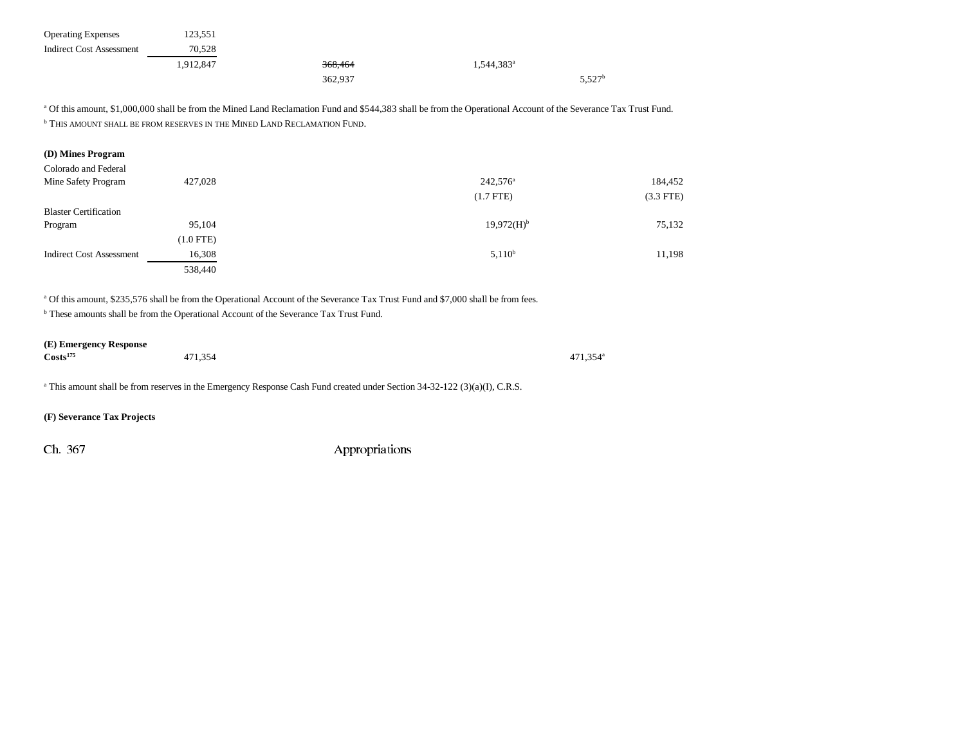| <b>Operating Expenses</b> | 123.551   |                    |                          |                    |
|---------------------------|-----------|--------------------|--------------------------|--------------------|
| Indirect Cost Assessment  | 70.528    |                    |                          |                    |
|                           | 1,912,847 | <del>368,464</del> | $1,544,383$ <sup>a</sup> |                    |
|                           |           | 362,937            |                          | 5.527 <sup>b</sup> |

<sup>a</sup> Of this amount, \$1,000,000 shall be from the Mined Land Reclamation Fund and \$544,383 shall be from the Operational Account of the Severance Tax Trust Fund. **b** THIS AMOUNT SHALL BE FROM RESERVES IN THE MINED LAND RECLAMATION FUND.

| (D) Mines Program               |                |                      |             |
|---------------------------------|----------------|----------------------|-------------|
| Colorado and Federal            |                |                      |             |
| Mine Safety Program             | 427,028        | 242,576 <sup>a</sup> | 184,452     |
|                                 |                | $(1.7$ FTE)          | $(3.3$ FTE) |
| <b>Blaster Certification</b>    |                |                      |             |
| Program                         | 95,104         | $19.972(H)^{b}$      | 75,132      |
|                                 | $(1.0$ FTE $)$ |                      |             |
| <b>Indirect Cost Assessment</b> | 16,308         | $5.110^{b}$          | 11,198      |
|                                 | 538,440        |                      |             |

a Of this amount, \$235,576 shall be from the Operational Account of the Severance Tax Trust Fund and \$7,000 shall be from fees.

b These amounts shall be from the Operational Account of the Severance Tax Trust Fund.

## **(E) Emergency Response**

| $\text{Costs}^{175}$<br>471,354 | 471,354 <sup>a</sup> |
|---------------------------------|----------------------|
|---------------------------------|----------------------|

<sup>a</sup> This amount shall be from reserves in the Emergency Response Cash Fund created under Section 34-32-122 (3)(a)(I), C.R.S.

#### **(F) Severance Tax Projects**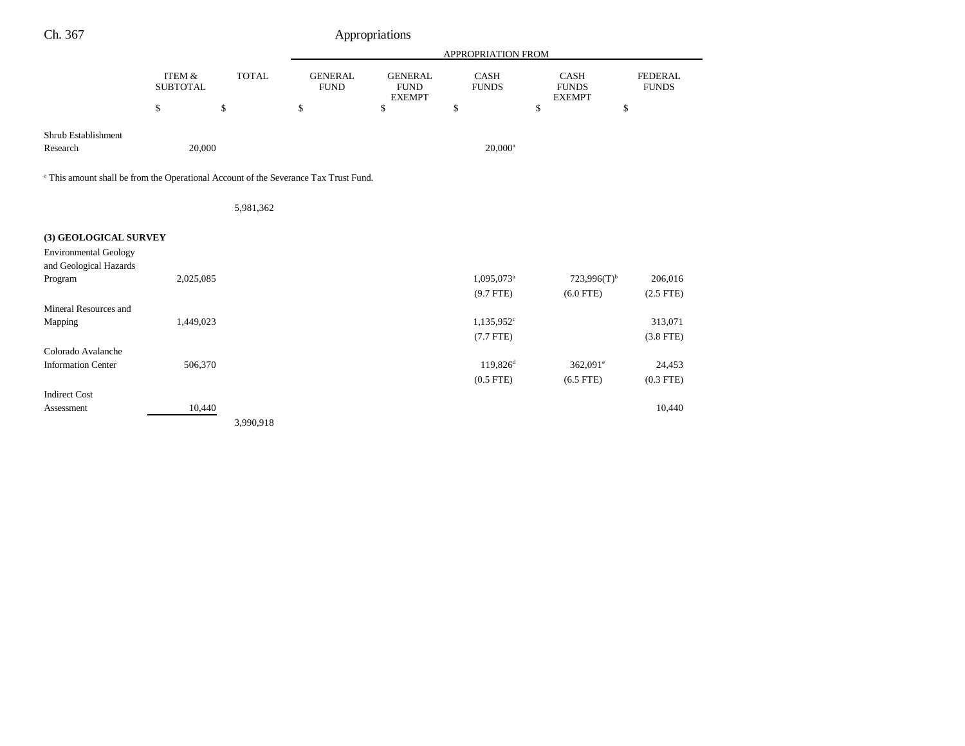| Ch. 367                                                                                         |                                      |              |                               | Appropriations                                 |                             |                                              |                                |
|-------------------------------------------------------------------------------------------------|--------------------------------------|--------------|-------------------------------|------------------------------------------------|-----------------------------|----------------------------------------------|--------------------------------|
|                                                                                                 |                                      |              |                               |                                                | APPROPRIATION FROM          |                                              |                                |
|                                                                                                 | <b>ITEM &amp;</b><br><b>SUBTOTAL</b> | <b>TOTAL</b> | <b>GENERAL</b><br><b>FUND</b> | <b>GENERAL</b><br><b>FUND</b><br><b>EXEMPT</b> | <b>CASH</b><br><b>FUNDS</b> | <b>CASH</b><br><b>FUNDS</b><br><b>EXEMPT</b> | <b>FEDERAL</b><br><b>FUNDS</b> |
|                                                                                                 | \$                                   | \$           | \$                            | \$                                             | \$                          | \$<br>\$                                     |                                |
| Shrub Establishment<br>Research                                                                 | 20,000                               |              |                               |                                                | $20,000^a$                  |                                              |                                |
| <sup>a</sup> This amount shall be from the Operational Account of the Severance Tax Trust Fund. |                                      |              |                               |                                                |                             |                                              |                                |
|                                                                                                 |                                      | 5,981,362    |                               |                                                |                             |                                              |                                |
| (3) GEOLOGICAL SURVEY                                                                           |                                      |              |                               |                                                |                             |                                              |                                |
| <b>Environmental Geology</b><br>and Geological Hazards                                          |                                      |              |                               |                                                |                             |                                              |                                |
| Program                                                                                         | 2,025,085                            |              |                               |                                                | 1,095,073 <sup>a</sup>      | $723,996(T)$ <sup>b</sup>                    | 206,016                        |
| Mineral Resources and                                                                           |                                      |              |                               |                                                | $(9.7$ FTE)                 | $(6.0$ FTE)                                  | $(2.5$ FTE)                    |
| Mapping                                                                                         | 1,449,023                            |              |                               |                                                | $1,135,952$ <sup>c</sup>    |                                              | 313,071                        |
|                                                                                                 |                                      |              |                               |                                                | $(7.7$ FTE)                 |                                              | $(3.8$ FTE)                    |
| Colorado Avalanche                                                                              |                                      |              |                               |                                                |                             |                                              |                                |
| <b>Information Center</b>                                                                       | 506,370                              |              |                               |                                                | $119,826$ <sup>d</sup>      | $362,091^{\circ}$                            | 24,453                         |
| <b>Indirect Cost</b>                                                                            |                                      |              |                               |                                                | $(0.5$ FTE)                 | $(6.5$ FTE)                                  | $(0.3$ FTE)                    |
| Assessment                                                                                      | 10,440                               |              |                               |                                                |                             |                                              | 10,440                         |
|                                                                                                 |                                      | 3,990,918    |                               |                                                |                             |                                              |                                |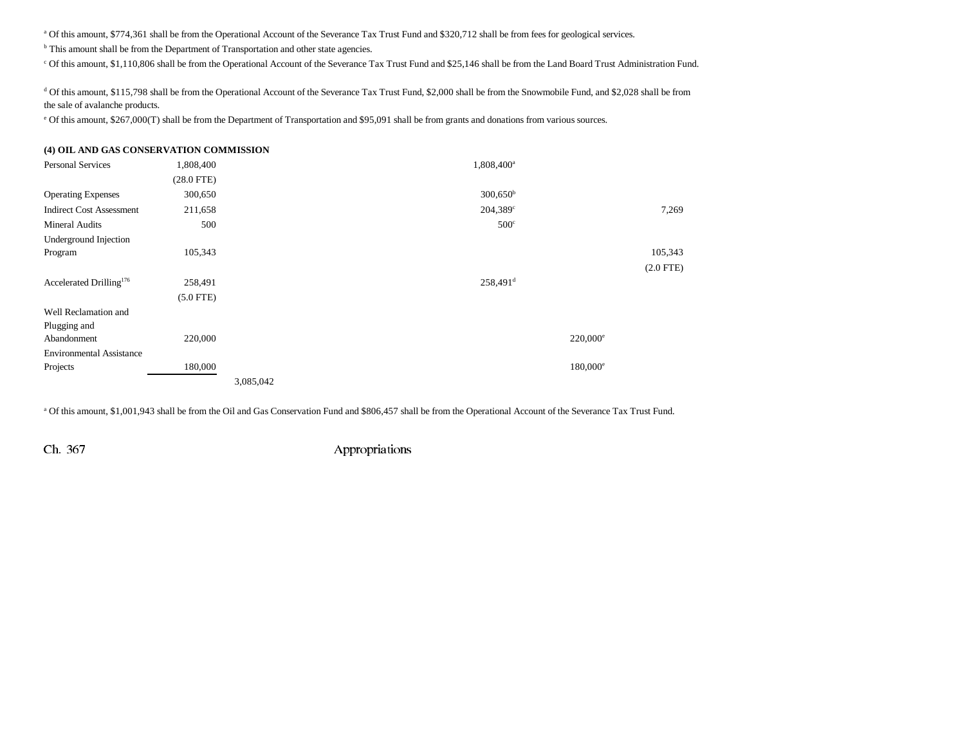a Of this amount, \$774,361 shall be from the Operational Account of the Severance Tax Trust Fund and \$320,712 shall be from fees for geological services.

<sup>b</sup> This amount shall be from the Department of Transportation and other state agencies.

c Of this amount, \$1,110,806 shall be from the Operational Account of the Severance Tax Trust Fund and \$25,146 shall be from the Land Board Trust Administration Fund.

<sup>d</sup> Of this amount, \$115,798 shall be from the Operational Account of the Severance Tax Trust Fund, \$2,000 shall be from the Snowmobile Fund, and \$2,028 shall be from the sale of avalanche products.

e Of this amount, \$267,000(T) shall be from the Department of Transportation and \$95,091 shall be from grants and donations from various sources.

## **(4) OIL AND GAS CONSERVATION COMMISSION** Personal Services 1,808,400 1,808,400 1,808,400 1,808,400 1,808,400 1,808,400 1,808,400 1,808,400 1,808,400 1,808,400 1,808,400 1,808,400 1,808,400 1,808,400 1,808,400 1,808,400 1,808,400 1,808,400 1,808,400 1,808,400 1,80 (28.0 FTE) Operating Expenses 300,650 300,650 300,650 300,650 300,650 300,650 300,650 300,650 300,650 300,650 300,650 300,650 300,650 300,650 300,650 300,650 300,650 300,650 300,650 300,650 300,650 300,650 300,650 300,650 300,650 300 Indirect Cost Assessment 211,658 204,389<sup>c</sup> 204,389<sup>c</sup> 7,269 Mineral Audits 500 500<sup>c</sup> Underground Injection Program 105,343 105,343 105,343 105,343 105,343 105,343 105,343 105,343 105,343 105,343 105,343 105,343 105,343 (2.0 FTE) Accelerated Drilling<sup>176</sup> 258,491 258,491 258,491d (5.0 FTE) Well Reclamation andPlugging and Abandonment 220,000 220,000e Environmental AssistanceProjects and the set of  $180,000$  and  $180,000$  and  $180,000$  and  $180,000$  and  $180,000$  and  $180,000$  and  $180,000$  and  $180,000$  and  $180,000$  and  $180,000$  and  $180,000$  and  $180,000$  and  $180,000$  and  $180,000$  and 3,085,042

<sup>a</sup> Of this amount, \$1,001,943 shall be from the Oil and Gas Conservation Fund and \$806,457 shall be from the Operational Account of the Severance Tax Trust Fund.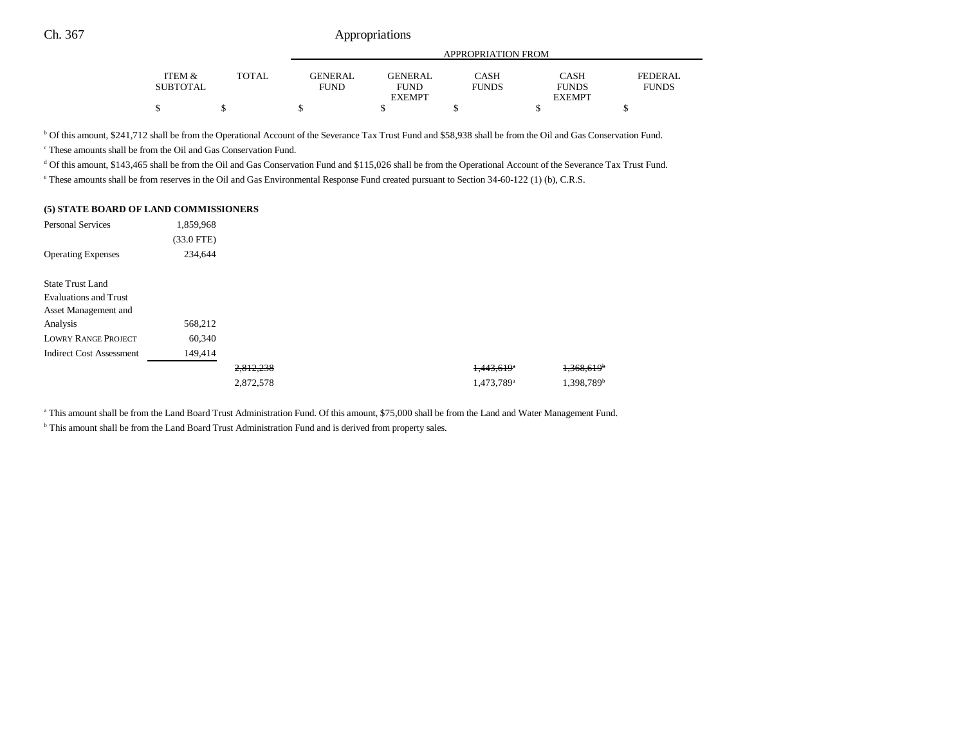|                    |              |                        | APPROPRIATION FROM            |                             |                             |                                |  |  |  |
|--------------------|--------------|------------------------|-------------------------------|-----------------------------|-----------------------------|--------------------------------|--|--|--|
|                    |              |                        |                               |                             |                             |                                |  |  |  |
| ITEM &<br>SUBTOTAL | <b>TOTAL</b> | <b>GENERAL</b><br>FUND | <b>GENERAL</b><br><b>FUND</b> | <b>CASH</b><br><b>FUNDS</b> | <b>CASH</b><br><b>FUNDS</b> | <b>FEDERAL</b><br><b>FUNDS</b> |  |  |  |
|                    |              |                        | <b>EXEMPT</b>                 |                             | <b>EXEMPT</b>               |                                |  |  |  |
| S                  |              |                        |                               |                             |                             |                                |  |  |  |

b Of this amount, \$241,712 shall be from the Operational Account of the Severance Tax Trust Fund and \$58,938 shall be from the Oil and Gas Conservation Fund.

c These amounts shall be from the Oil and Gas Conservation Fund.

<sup>d</sup> Of this amount, \$143,465 shall be from the Oil and Gas Conservation Fund and \$115,026 shall be from the Operational Account of the Severance Tax Trust Fund.

e These amounts shall be from reserves in the Oil and Gas Environmental Response Fund created pursuant to Section 34-60-122 (1) (b), C.R.S.

#### **(5) STATE BOARD OF LAND COMMISSIONERS**

| <b>Personal Services</b>        | 1,859,968    |           |                          |                          |
|---------------------------------|--------------|-----------|--------------------------|--------------------------|
|                                 | $(33.0$ FTE) |           |                          |                          |
| <b>Operating Expenses</b>       | 234,644      |           |                          |                          |
| <b>State Trust Land</b>         |              |           |                          |                          |
| <b>Evaluations and Trust</b>    |              |           |                          |                          |
| Asset Management and            |              |           |                          |                          |
| Analysis                        | 568,212      |           |                          |                          |
| <b>LOWRY RANGE PROJECT</b>      | 60,340       |           |                          |                          |
| <b>Indirect Cost Assessment</b> | 149,414      |           |                          |                          |
|                                 |              | 2,812,238 | $1,443,619$ <sup>*</sup> | $1,368,619$ <sup>b</sup> |
|                                 |              | 2,872,578 | 1,473,789 <sup>a</sup>   | 1,398,789 <sup>b</sup>   |

a This amount shall be from the Land Board Trust Administration Fund. Of this amount, \$75,000 shall be from the Land and Water Management Fund.

<sup>b</sup> This amount shall be from the Land Board Trust Administration Fund and is derived from property sales.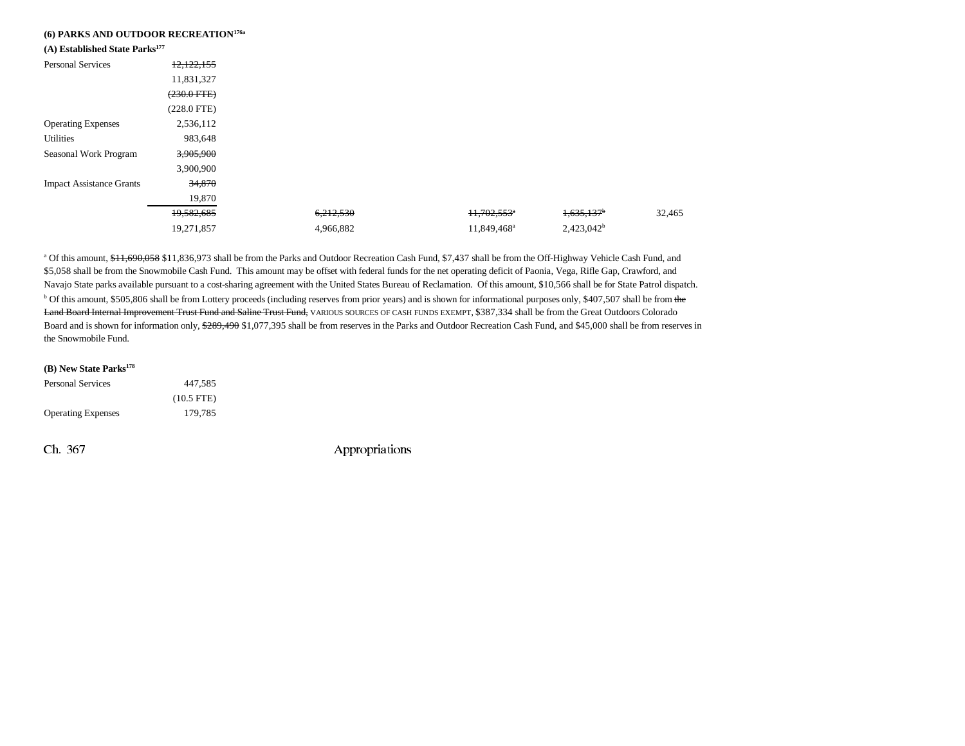| (6) PARKS AND OUTDOOR RECREATION <sup>176a</sup><br>(A) Established State Parks <sup>177</sup> |               |           |                         |                          |        |
|------------------------------------------------------------------------------------------------|---------------|-----------|-------------------------|--------------------------|--------|
| <b>Personal Services</b>                                                                       | 12,122,155    |           |                         |                          |        |
|                                                                                                | 11,831,327    |           |                         |                          |        |
|                                                                                                | $(230.0$ FTE) |           |                         |                          |        |
|                                                                                                | $(228.0$ FTE) |           |                         |                          |        |
| <b>Operating Expenses</b>                                                                      | 2,536,112     |           |                         |                          |        |
| <b>Utilities</b>                                                                               | 983,648       |           |                         |                          |        |
| Seasonal Work Program                                                                          | 3,905,900     |           |                         |                          |        |
|                                                                                                | 3,900,900     |           |                         |                          |        |
| <b>Impact Assistance Grants</b>                                                                | 34,870        |           |                         |                          |        |
|                                                                                                | 19,870        |           |                         |                          |        |
|                                                                                                | 19,582,685    | 6,212,530 | 11,702,553 <sup>*</sup> | $1,635,137$ <sup>b</sup> | 32,465 |
|                                                                                                | 19,271,857    | 4,966,882 | 11,849,468 <sup>a</sup> | $2,423,042^b$            |        |

a Of this amount, \$11,690,058 \$11,836,973 shall be from the Parks and Outdoor Recreation Cash Fund, \$7,437 shall be from the Off-Highway Vehicle Cash Fund, and \$5,058 shall be from the Snowmobile Cash Fund. This amount may be offset with federal funds for the net operating deficit of Paonia, Vega, Rifle Gap, Crawford, and Navajo State parks available pursuant to a cost-sharing agreement with the United States Bureau of Reclamation. Of this amount, \$10,566 shall be for State Patrol dispatch. <sup>b</sup> Of this amount, \$505,806 shall be from Lottery proceeds (including reserves from prior years) and is shown for informational purposes only, \$407,507 shall be from the Land Board Internal Improvement Trust Fund and Saline Trust Fund, VARIOUS SOURCES OF CASH FUNDS EXEMPT, \$387,334 shall be from the Great Outdoors Colorado Board and is shown for information only, \$289,490 \$1,077,395 shall be from reserves in the Parks and Outdoor Recreation Cash Fund, and \$45,000 shall be from reserves in the Snowmobile Fund.

| (B) New State Parks <sup>178</sup> |              |
|------------------------------------|--------------|
| Personal Services                  | 447.585      |
|                                    | $(10.5$ FTE) |
| <b>Operating Expenses</b>          | 179.785      |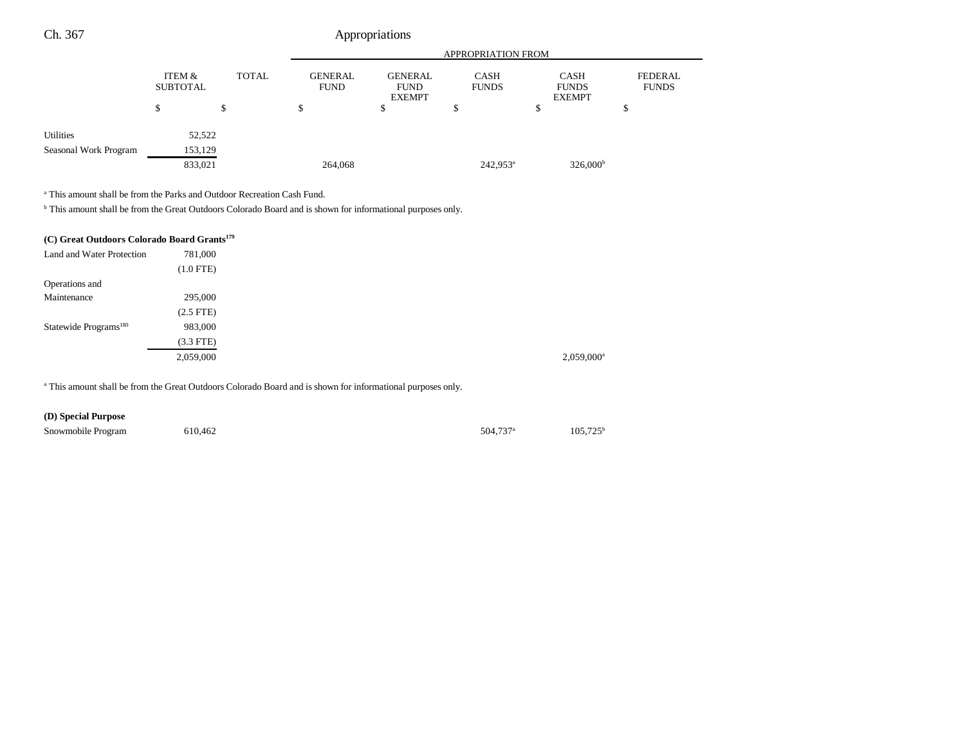|                       |                           |              |                               | <b>APPROPRIATION FROM</b>                      |                             |                                              |                         |  |  |
|-----------------------|---------------------------|--------------|-------------------------------|------------------------------------------------|-----------------------------|----------------------------------------------|-------------------------|--|--|
|                       | ITEM &<br><b>SUBTOTAL</b> | <b>TOTAL</b> | <b>GENERAL</b><br><b>FUND</b> | <b>GENERAL</b><br><b>FUND</b><br><b>EXEMPT</b> | <b>CASH</b><br><b>FUNDS</b> | <b>CASH</b><br><b>FUNDS</b><br><b>EXEMPT</b> | FEDERAL<br><b>FUNDS</b> |  |  |
|                       | S                         |              |                               | ъ                                              | D                           | S                                            | \$                      |  |  |
| Utilities             | 52,522                    |              |                               |                                                |                             |                                              |                         |  |  |
| Seasonal Work Program | 153,129                   |              |                               |                                                |                             |                                              |                         |  |  |
|                       | 833,021                   |              | 264,068                       |                                                | $242.953^a$                 | $326,000^{\circ}$                            |                         |  |  |

a This amount shall be from the Parks and Outdoor Recreation Cash Fund.

b This amount shall be from the Great Outdoors Colorado Board and is shown for informational purposes only.

| (C) Great Outdoors Colorado Board Grants <sup>179</sup> |                |
|---------------------------------------------------------|----------------|
| Land and Water Protection                               | 781,000        |
|                                                         | $(1.0$ FTE)    |
| Operations and                                          |                |
| Maintenance                                             | 295,000        |
|                                                         | $(2.5$ FTE $)$ |
| Statewide Programs <sup>180</sup>                       | 983,000        |
|                                                         | $(3.3$ FTE)    |
|                                                         | 2,059,000      |

a This amount shall be from the Great Outdoors Colorado Board and is shown for informational purposes only.

## **(D) Special Purpose**

| Snowmobile Program | 610,462 | 504.737 <sup>a</sup> | $105,725^{\rm t}$ |
|--------------------|---------|----------------------|-------------------|
|                    |         |                      |                   |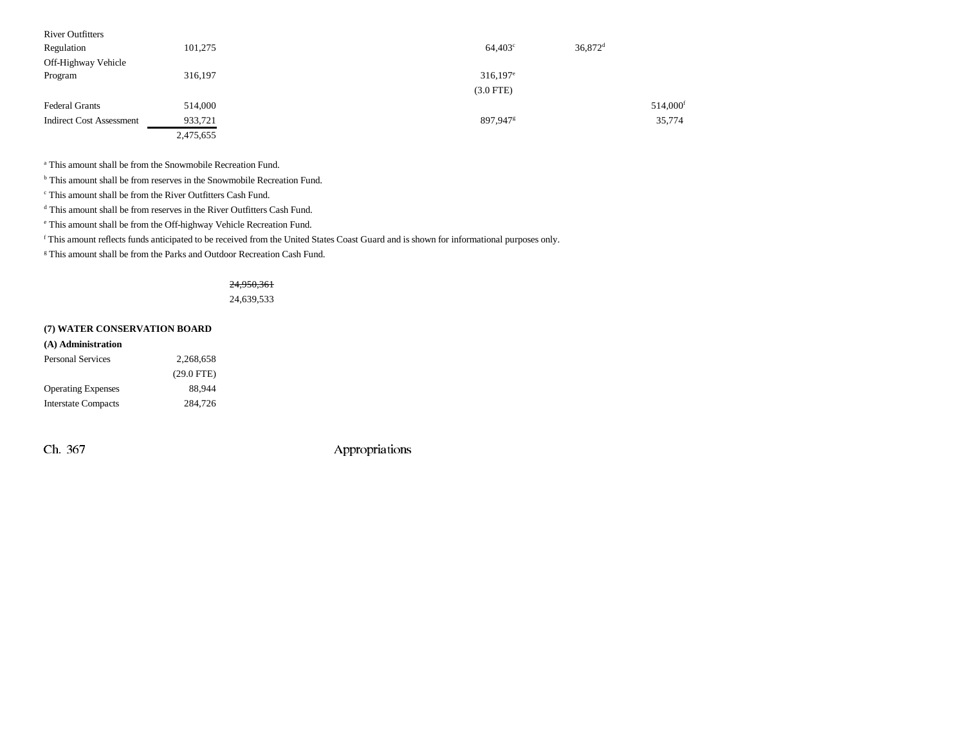| 101,275   | 36,872 <sup>d</sup><br>$64,403^{\circ}$ |                      |
|-----------|-----------------------------------------|----------------------|
|           |                                         |                      |
| 316,197   | $316,197$ <sup>e</sup>                  |                      |
|           | $(3.0$ FTE)                             |                      |
| 514,000   |                                         | 514,000 <sup>f</sup> |
| 933,721   | 897,947 <sup>g</sup>                    | 35,774               |
| 2,475,655 |                                         |                      |
|           |                                         |                      |

a This amount shall be from the Snowmobile Recreation Fund.

<sup>b</sup> This amount shall be from reserves in the Snowmobile Recreation Fund.

c This amount shall be from the River Outfitters Cash Fund.

<sup>d</sup> This amount shall be from reserves in the River Outfitters Cash Fund.

e This amount shall be from the Off-highway Vehicle Recreation Fund.

f This amount reflects funds anticipated to be received from the United States Coast Guard and is shown for informational purposes only.

g This amount shall be from the Parks and Outdoor Recreation Cash Fund.

#### 24,950,361

24,639,533

#### **(7) WATER CONSERVATION BOARD**

#### **(A) Administration**

| <b>Personal Services</b>   | 2.268.658    |
|----------------------------|--------------|
|                            | $(29.0$ FTE) |
| <b>Operating Expenses</b>  | 88.944       |
| <b>Interstate Compacts</b> | 284,726      |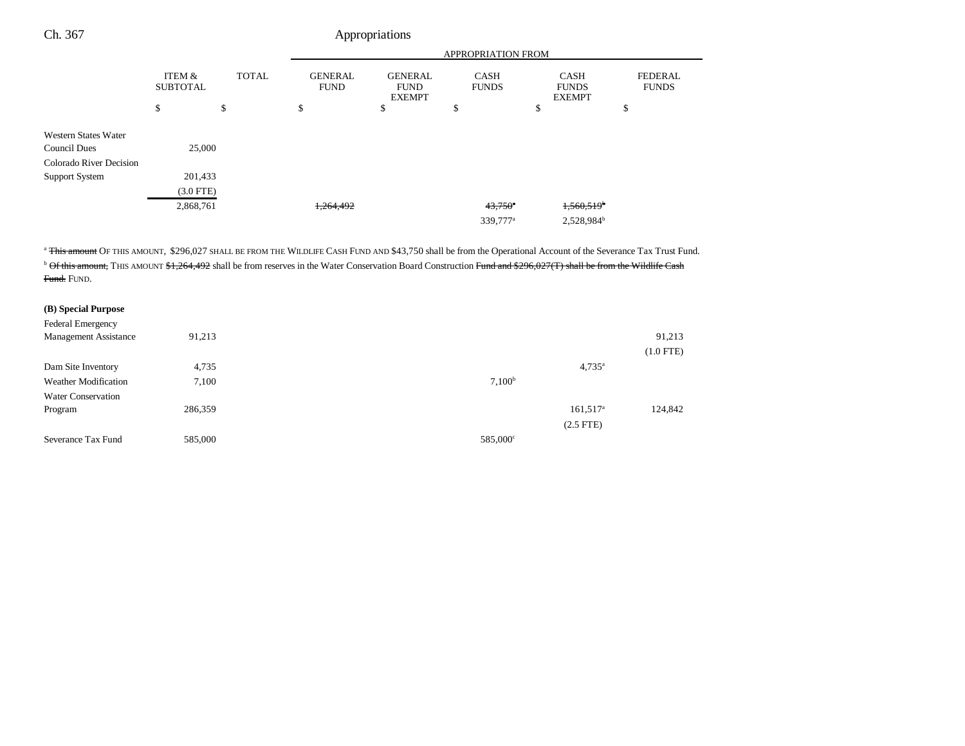|                           |              | <b>APPROPRIATION FROM</b>                     |                                                |                             |                                              |                                |  |
|---------------------------|--------------|-----------------------------------------------|------------------------------------------------|-----------------------------|----------------------------------------------|--------------------------------|--|
| ITEM &<br><b>SUBTOTAL</b> | <b>TOTAL</b> | <b>GENERAL</b><br><b>FUND</b>                 | <b>GENERAL</b><br><b>FUND</b><br><b>EXEMPT</b> | <b>CASH</b><br><b>FUNDS</b> | <b>CASH</b><br><b>FUNDS</b><br><b>EXEMPT</b> | <b>FEDERAL</b><br><b>FUNDS</b> |  |
| \$                        | \$           | \$                                            | \$                                             | \$                          | \$                                           | \$                             |  |
|                           |              |                                               |                                                |                             |                                              |                                |  |
|                           |              |                                               |                                                |                             |                                              |                                |  |
|                           |              |                                               |                                                |                             |                                              |                                |  |
|                           |              |                                               |                                                |                             |                                              |                                |  |
|                           |              |                                               |                                                |                             |                                              |                                |  |
|                           |              | 1,264,492                                     |                                                | $43,750$ <sup>e</sup>       | $1,560,519$ <sup>b</sup>                     |                                |  |
|                           |              |                                               |                                                | 339,777 <sup>a</sup>        | 2,528,984 <sup>b</sup>                       |                                |  |
|                           |              | 25,000<br>201,433<br>$(3.0$ FTE)<br>2,868,761 |                                                |                             |                                              |                                |  |

<sup>a</sup> This amount OF THIS AMOUNT, \$296,027 SHALL BE FROM THE WILDLIFE CASH FUND AND \$43,750 shall be from the Operational Account of the Severance Tax Trust Fund.  $^{\rm b}$  Of this amount, THIS AMOUNT  $$1,264,492$  shall be from reserves in the Water Conservation Board Construction Fund and  $$296,027(T)$  shall be from the Wildlife Cash <del>Fund.</del> Fund.

### **(B) Special Purpose**

| <b>Federal Emergency</b><br><b>Management Assistance</b> | 91,213  |                    | 91,213      |
|----------------------------------------------------------|---------|--------------------|-------------|
|                                                          |         |                    | $(1.0$ FTE) |
|                                                          |         |                    |             |
| Dam Site Inventory                                       | 4,735   | $4,735^{\circ}$    |             |
| <b>Weather Modification</b>                              | 7,100   | 7,100 <sup>b</sup> |             |
| <b>Water Conservation</b>                                |         |                    |             |
| Program                                                  | 286,359 | $161,517^a$        | 124,842     |
|                                                          |         | $(2.5$ FTE)        |             |
| Severance Tax Fund                                       | 585,000 | 585,000°           |             |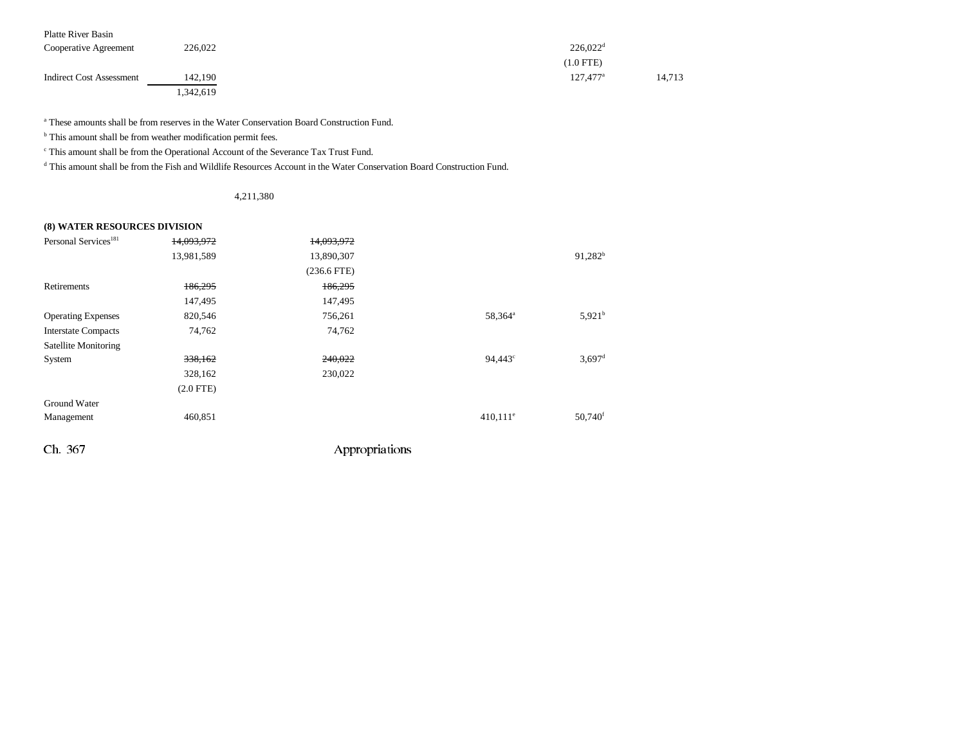| Platte River Basin              |           |                             |
|---------------------------------|-----------|-----------------------------|
| Cooperative Agreement           | 226,022   | $226,022$ <sup>d</sup>      |
|                                 |           | $(1.0$ FTE)                 |
| <b>Indirect Cost Assessment</b> | 142.190   | $127.477^{\circ}$<br>14.713 |
|                                 | 1,342,619 |                             |

a These amounts shall be from reserves in the Water Conservation Board Construction Fund.

 $<sup>b</sup>$  This amount shall be from weather modification permit fees.</sup>

c This amount shall be from the Operational Account of the Severance Tax Trust Fund.

d This amount shall be from the Fish and Wildlife Resources Account in the Water Conservation Board Construction Fund.

4,211,380

#### **(8) WATER RESOURCES DIVISION**

| Personal Services <sup>181</sup> | 14,093,972  | 14,093,972    |                        |                      |
|----------------------------------|-------------|---------------|------------------------|----------------------|
|                                  | 13,981,589  | 13,890,307    |                        | $91,282^b$           |
|                                  |             | $(236.6$ FTE) |                        |                      |
| Retirements                      | 186,295     | 186,295       |                        |                      |
|                                  | 147,495     | 147,495       |                        |                      |
| <b>Operating Expenses</b>        | 820,546     | 756,261       | 58,364 <sup>a</sup>    | 5,921 <sup>b</sup>   |
| <b>Interstate Compacts</b>       | 74,762      | 74,762        |                        |                      |
| Satellite Monitoring             |             |               |                        |                      |
| System                           | 338,162     | 240,022       | $94,443^{\circ}$       | $3,697$ <sup>d</sup> |
|                                  | 328,162     | 230,022       |                        |                      |
|                                  | $(2.0$ FTE) |               |                        |                      |
| Ground Water                     |             |               |                        |                      |
| Management                       | 460,851     |               | $410,111$ <sup>e</sup> | 50,740 <sup>f</sup>  |
|                                  |             |               |                        |                      |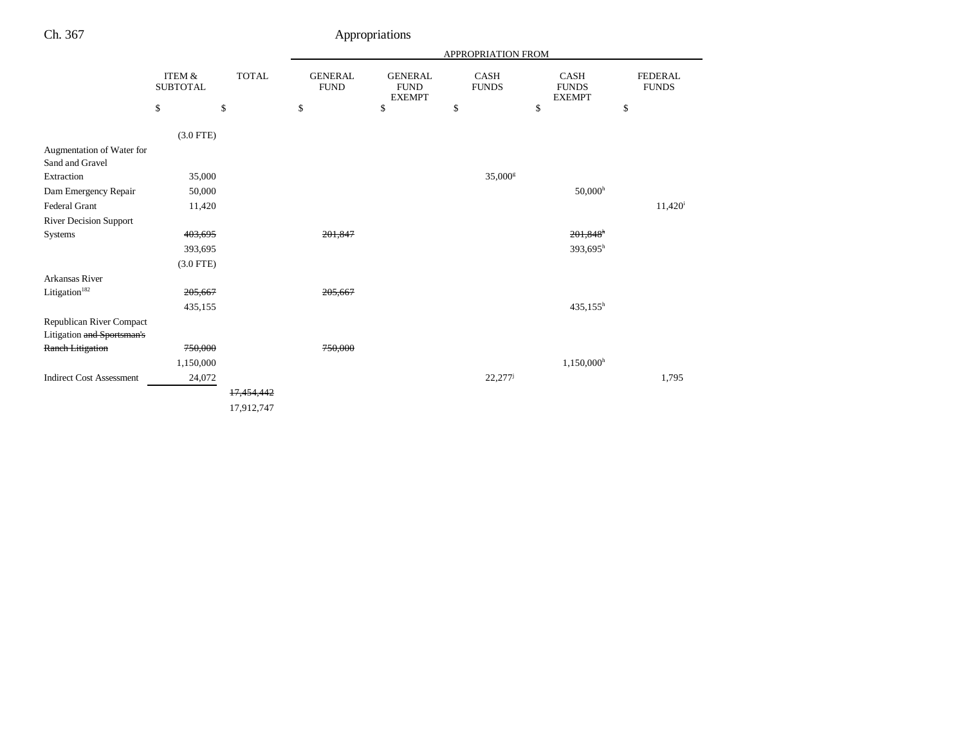|                                              |                                      |              | APPROPRIATION FROM            |                                                |                      |                                              |                                |
|----------------------------------------------|--------------------------------------|--------------|-------------------------------|------------------------------------------------|----------------------|----------------------------------------------|--------------------------------|
|                                              | <b>ITEM &amp;</b><br><b>SUBTOTAL</b> | <b>TOTAL</b> | <b>GENERAL</b><br><b>FUND</b> | <b>GENERAL</b><br><b>FUND</b><br><b>EXEMPT</b> | CASH<br><b>FUNDS</b> | <b>CASH</b><br><b>FUNDS</b><br><b>EXEMPT</b> | <b>FEDERAL</b><br><b>FUNDS</b> |
|                                              | \$                                   | \$           | \$                            | \$                                             | \$                   | \$                                           | \$                             |
|                                              | $(3.0$ FTE)                          |              |                               |                                                |                      |                                              |                                |
| Augmentation of Water for<br>Sand and Gravel |                                      |              |                               |                                                |                      |                                              |                                |
| Extraction                                   | 35,000                               |              |                               |                                                | 35,000 <sup>s</sup>  |                                              |                                |
| Dam Emergency Repair                         | 50,000                               |              |                               |                                                |                      | 50,000 <sup>h</sup>                          |                                |
| Federal Grant                                | 11,420                               |              |                               |                                                |                      |                                              | $11,420^{\rm i}$               |
| <b>River Decision Support</b>                |                                      |              |                               |                                                |                      |                                              |                                |
| Systems                                      | 403,695                              |              | 201,847                       |                                                |                      | $201,848$ <sup>h</sup>                       |                                |
|                                              | 393,695                              |              |                               |                                                |                      | $393,695^h$                                  |                                |
|                                              | $(3.0$ FTE)                          |              |                               |                                                |                      |                                              |                                |
| Arkansas River                               |                                      |              |                               |                                                |                      |                                              |                                |
| Litigation <sup>182</sup>                    | 205,667                              |              | 205,667                       |                                                |                      |                                              |                                |
|                                              | 435,155                              |              |                               |                                                |                      | $435,155^h$                                  |                                |
| Republican River Compact                     |                                      |              |                               |                                                |                      |                                              |                                |
| Litigation and Sportsman's                   |                                      |              |                               |                                                |                      |                                              |                                |
| <b>Ranch Litigation</b>                      | 750,000                              |              | 750,000                       |                                                |                      |                                              |                                |
|                                              | 1,150,000                            |              |                               |                                                |                      | $1,150,000$ <sup>h</sup>                     |                                |
| <b>Indirect Cost Assessment</b>              | 24,072                               |              |                               |                                                | 22,277               |                                              | 1,795                          |
|                                              |                                      | 17,454,442   |                               |                                                |                      |                                              |                                |
|                                              |                                      | 17,912,747   |                               |                                                |                      |                                              |                                |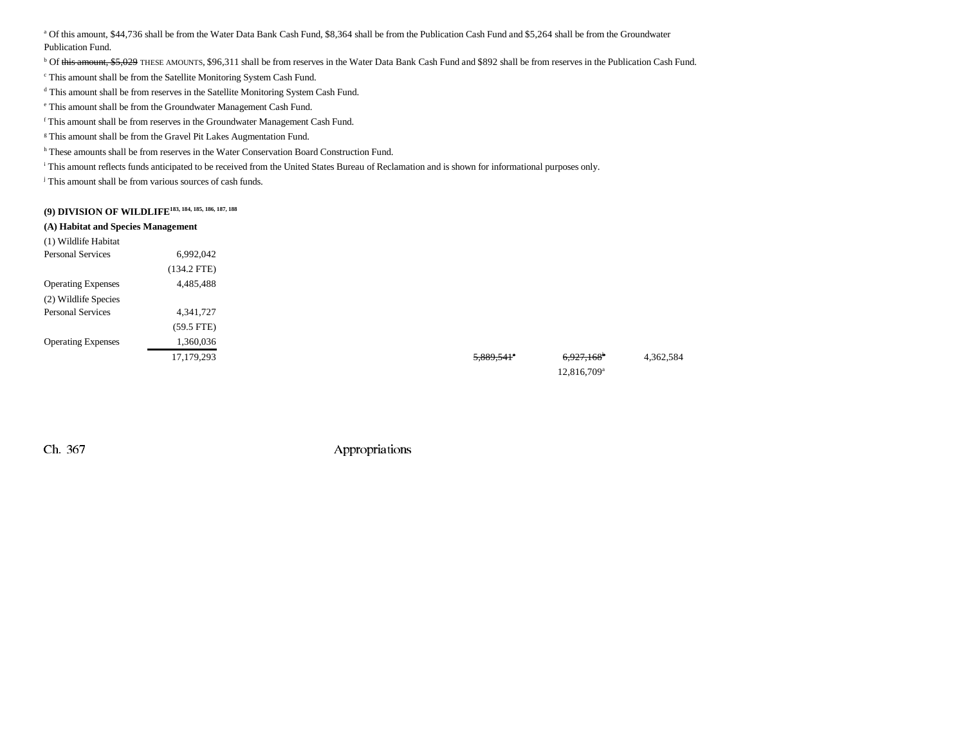a Of this amount, \$44,736 shall be from the Water Data Bank Cash Fund, \$8,364 shall be from the Publication Cash Fund and \$5,264 shall be from the Groundwater Publication Fund.

<sup>b</sup> Of this amount, \$5,029 THESE AMOUNTS, \$96,311 shall be from reserves in the Water Data Bank Cash Fund and \$892 shall be from reserves in the Publication Cash Fund.

c This amount shall be from the Satellite Monitoring System Cash Fund.

d This amount shall be from reserves in the Satellite Monitoring System Cash Fund.

e This amount shall be from the Groundwater Management Cash Fund.

f This amount shall be from reserves in the Groundwater Management Cash Fund.

<sup>g</sup> This amount shall be from the Gravel Pit Lakes Augmentation Fund.

h These amounts shall be from reserves in the Water Conservation Board Construction Fund.

i This amount reflects funds anticipated to be received from the United States Bureau of Reclamation and is shown for informational purposes only.

j This amount shall be from various sources of cash funds.

**(9) DIVISION OF WILDLIFE183, 184, 185, 186, 187, 188**

| (A) Habitat and Species Management |               |                          |                         |  |
|------------------------------------|---------------|--------------------------|-------------------------|--|
| (1) Wildlife Habitat               |               |                          |                         |  |
| <b>Personal Services</b>           | 6,992,042     |                          |                         |  |
|                                    | $(134.2$ FTE) |                          |                         |  |
| <b>Operating Expenses</b>          | 4,485,488     |                          |                         |  |
| (2) Wildlife Species               |               |                          |                         |  |
| <b>Personal Services</b>           | 4,341,727     |                          |                         |  |
|                                    | $(59.5$ FTE)  |                          |                         |  |
| <b>Operating Expenses</b>          | 1,360,036     |                          |                         |  |
|                                    | 17,179,293    | $5,889,541$ <sup>*</sup> | 6,927,168 <sup>b</sup>  |  |
|                                    |               |                          | 12,816,709 <sup>a</sup> |  |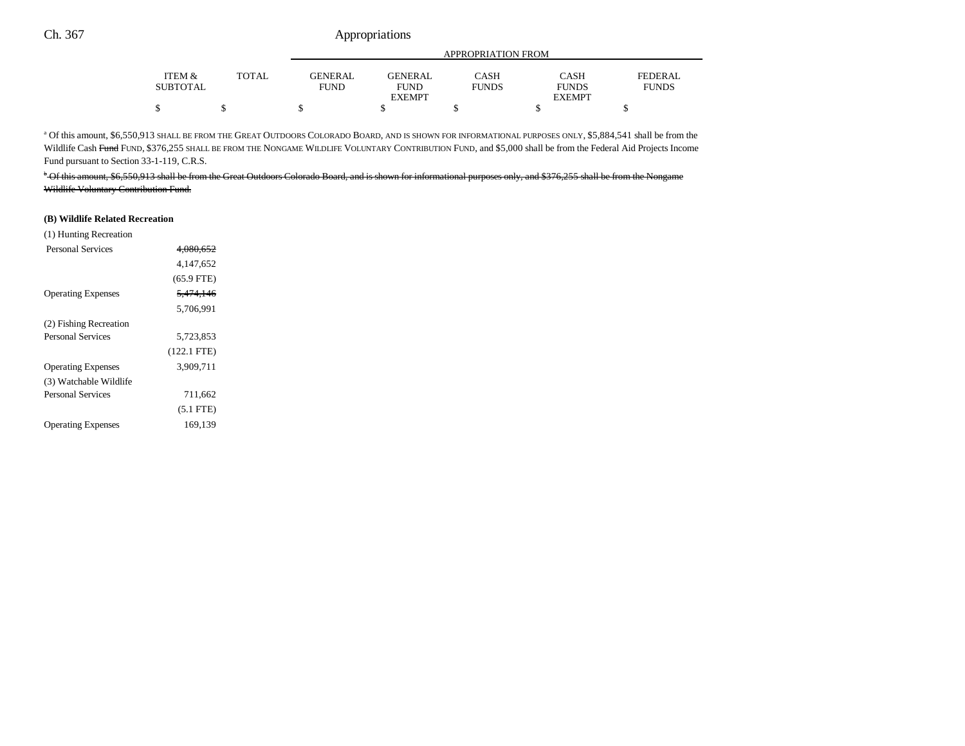|                 |              |                |                | APPROPRIATION FROM |               |              |
|-----------------|--------------|----------------|----------------|--------------------|---------------|--------------|
| ITEM &          | <b>TOTAL</b> | <b>GENERAL</b> | <b>GENERAL</b> | CASH               | CASH          | FEDERAL      |
| <b>SUBTOTAL</b> |              | <b>FUND</b>    | <b>FUND</b>    | <b>FUNDS</b>       | <b>FUNDS</b>  | <b>FUNDS</b> |
|                 |              |                | <b>EXEMPT</b>  |                    | <b>EXEMPT</b> |              |
| \$              |              |                |                |                    |               |              |

a Of this amount, \$6,550,913 SHALL BE FROM THE GREAT OUTDOORS COLORADO BOARD, AND IS SHOWN FOR INFORMATIONAL PURPOSES ONLY, \$5,884,541 shall be from the Wildlife Cash Fund FUND, \$376,255 SHALL BE FROM THE NONGAME WILDLIFE VOLUNTARY CONTRIBUTION FUND, and \$5,000 shall be from the Federal Aid Projects Income Fund pursuant to Section 33-1-119, C.R.S.

b Of this amount, \$6,550,913 shall be from the Great Outdoors Colorado Board, and is shown for informational purposes only, and \$376,255 shall be from the Nongame Wildlife Voluntary Contribution Fund.

#### **(B) Wildlife Related Recreation**

| 4.080.652            |  |
|----------------------|--|
| 4.147.652            |  |
| $(65.9$ FTE)         |  |
| <del>5.474.146</del> |  |
| 5.706.991            |  |
|                      |  |
| 5,723,853            |  |
| $(122.1$ FTE)        |  |
| 3,909,711            |  |
|                      |  |
| 711,662              |  |
| $(5.1$ FTE)          |  |
| 169.139              |  |
|                      |  |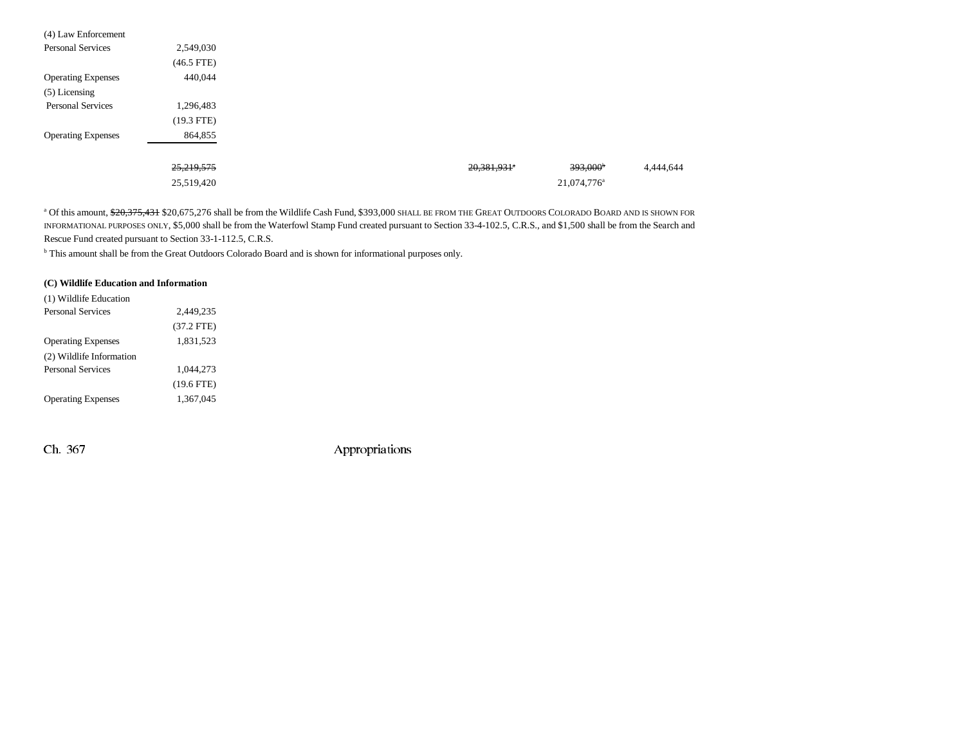| (4) Law Enforcement       |              |                                  |           |
|---------------------------|--------------|----------------------------------|-----------|
| <b>Personal Services</b>  | 2,549,030    |                                  |           |
|                           | $(46.5$ FTE) |                                  |           |
| <b>Operating Expenses</b> | 440,044      |                                  |           |
| $(5)$ Licensing           |              |                                  |           |
| <b>Personal Services</b>  | 1,296,483    |                                  |           |
|                           | $(19.3$ FTE) |                                  |           |
| <b>Operating Expenses</b> | 864,855      |                                  |           |
|                           |              |                                  |           |
|                           | 25,219,575   | $393,000^{\circ}$<br>20,381,931* | 4,444,644 |
|                           | 25,519,420   | 21,074,776 <sup>a</sup>          |           |

<sup>a</sup> Of this amount, <del>\$20,375,431</del> \$20,675,276 shall be from the Wildlife Cash Fund, \$393,000 shall be from the Great Outdoors Colorado Board and is shown for INFORMATIONAL PURPOSES ONLY, \$5,000 shall be from the Waterfowl Stamp Fund created pursuant to Section 33-4-102.5, C.R.S., and \$1,500 shall be from the Search and Rescue Fund created pursuant to Section 33-1-112.5, C.R.S.

b This amount shall be from the Great Outdoors Colorado Board and is shown for informational purposes only.

## **(C) Wildlife Education and Information**

| (1) Wildlife Education    |              |  |
|---------------------------|--------------|--|
| <b>Personal Services</b>  | 2,449,235    |  |
|                           | $(37.2$ FTE) |  |
| <b>Operating Expenses</b> | 1,831,523    |  |
| (2) Wildlife Information  |              |  |
| <b>Personal Services</b>  | 1.044.273    |  |
|                           | $(19.6$ FTE) |  |
| <b>Operating Expenses</b> | 1,367,045    |  |
|                           |              |  |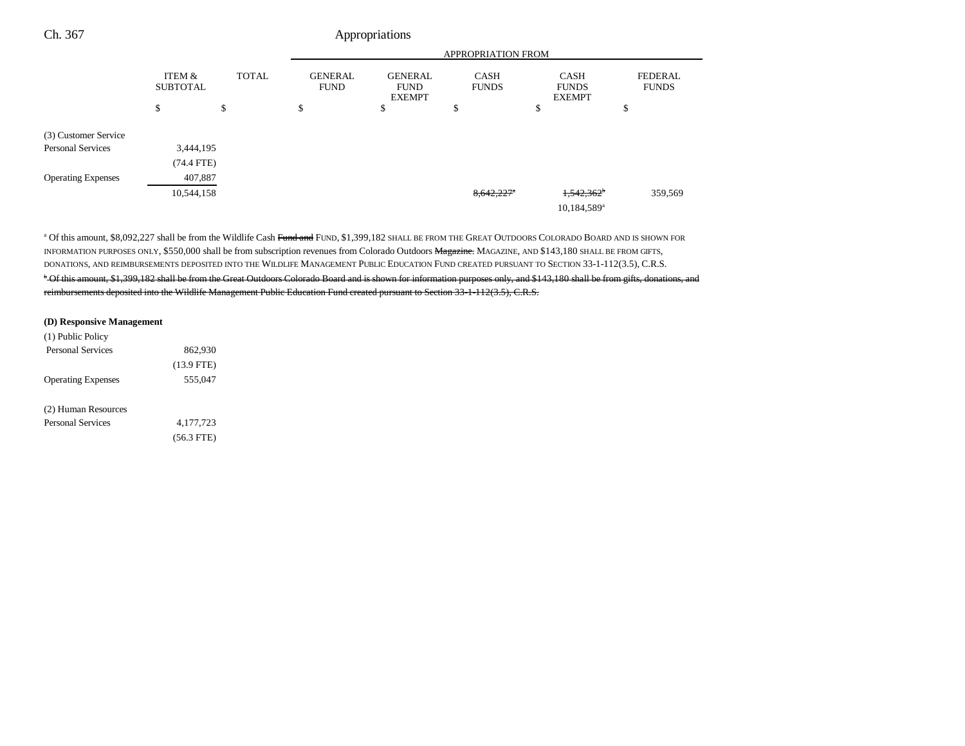#### APPROPRIATION FROMITEM & SUBTOTAL TOTAL GENERAL FUND GENERAL FUND EXEMPTCASH FUNDS CASH FUNDS EXEMPTFEDERAL FUNDS  $\begin{array}{ccccccccccc} \mathsf{s} & \mathsf{s} & \mathsf{s} & \mathsf{s} & \mathsf{s} & \mathsf{s} & \mathsf{s} & \mathsf{s} & \mathsf{s} & \mathsf{s} & \mathsf{s} & \mathsf{s} & \mathsf{s} & \mathsf{s} & \mathsf{s} & \mathsf{s} & \mathsf{s} & \mathsf{s} & \mathsf{s} & \mathsf{s} & \mathsf{s} & \mathsf{s} & \mathsf{s} & \mathsf{s} & \mathsf{s} & \mathsf{s} & \mathsf{s} & \mathsf{s} & \mathsf{s} & \mathsf{s} & \mathsf{s} & \mathsf{s} & \mathsf{s} & \mathsf{s} & \mathsf{s} & \$ Ch. 367 Appropriations (3) Customer Service Personal Services 3,444,195 (74.4 FTE) Operating Expenses 407,887  $\frac{8,642,227}{},\frac{1544,158}{359,569}$ 10,184,589a

<sup>a</sup> Of this amount, \$8,092,227 shall be from the Wildlife Cash Fund and FUND, \$1,399,182 SHALL BE FROM THE GREAT OUTDOORS COLORADO BOARD AND IS SHOWN FOR INFORMATION PURPOSES ONLY, \$550,000 shall be from subscription revenues from Colorado Outdoors Magazine. MAGAZINE, AND \$143,180 SHALL BE FROM GIFTS, DONATIONS, AND REIMBURSEMENTS DEPOSITED INTO THE WILDLIFE MANAGEMENT PUBLIC EDUCATION FUND CREATED PURSUANT TO SECTION 33-1-112(3.5), C.R.S. <sup>b</sup> Of this amount, \$1,399,182 shall be from the Great Outdoors Colorado Board and is shown for information purposes only, and \$143,180 shall be from gifts, donations, and reimbursements deposited into the Wildlife Management Public Education Fund created pursuant to Section 33-1-112(3.5), C.R.S.

#### **(D) Responsive Management**

| (1) Public Policy         |              |  |
|---------------------------|--------------|--|
| <b>Personal Services</b>  | 862.930      |  |
|                           | $(13.9$ FTE) |  |
| <b>Operating Expenses</b> | 555,047      |  |
| (2) Human Resources       |              |  |
| <b>Personal Services</b>  | 4.177.723    |  |
|                           | $(56.3$ FTE) |  |
|                           |              |  |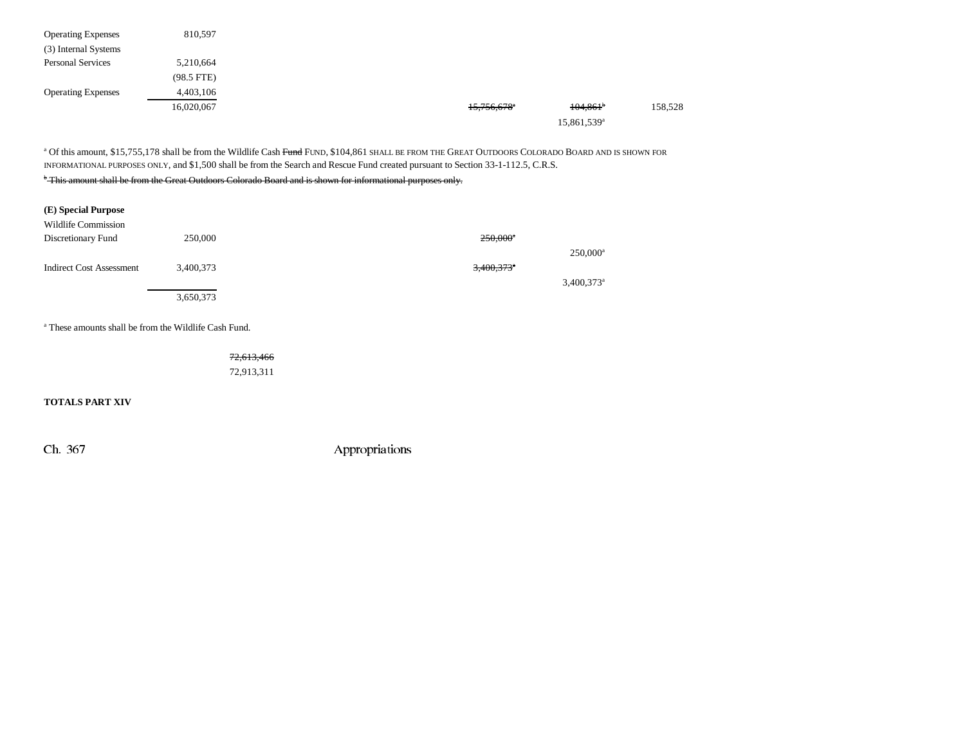| <b>Operating Expenses</b> | 810,597      |  |                           |                         |         |
|---------------------------|--------------|--|---------------------------|-------------------------|---------|
| (3) Internal Systems      |              |  |                           |                         |         |
| <b>Personal Services</b>  | 5,210,664    |  |                           |                         |         |
|                           | $(98.5$ FTE) |  |                           |                         |         |
| <b>Operating Expenses</b> | 4,403,106    |  |                           |                         |         |
|                           | 16,020,067   |  | $15,756,678$ <sup>a</sup> | $104,861$ <sup>b</sup>  | 158,528 |
|                           |              |  |                           | 15,861,539 <sup>a</sup> |         |

 $^\text{a}$  Of this amount, \$15,755,178 shall be from the Wildlife Cash <del>Fund</del> Fund, \$104,861 shall be from the Great Outdoors Colorado Board and is shown for INFORMATIONAL PURPOSES ONLY, and \$1,500 shall be from the Search and Rescue Fund created pursuant to Section 33-1-112.5, C.R.S.

## <sup>b</sup> This amount shall be from the Great Outdoors Colorado Board and is shown for informational purposes only.

| (E) Special Purpose<br>Wildlife Commission |                                                                  |                          |                          |
|--------------------------------------------|------------------------------------------------------------------|--------------------------|--------------------------|
| Discretionary Fund                         | 250,000                                                          | $250,000$ <sup>*</sup>   |                          |
|                                            |                                                                  |                          | $250,000^a$              |
| <b>Indirect Cost Assessment</b>            | 3,400,373                                                        | $3,400,373$ <sup>*</sup> |                          |
|                                            |                                                                  |                          | $3,400,373$ <sup>a</sup> |
|                                            | 3,650,373                                                        |                          |                          |
|                                            | <sup>a</sup> These amounts shall be from the Wildlife Cash Fund. |                          |                          |

72,613,466 72,913,311

**TOTALS PART XIV**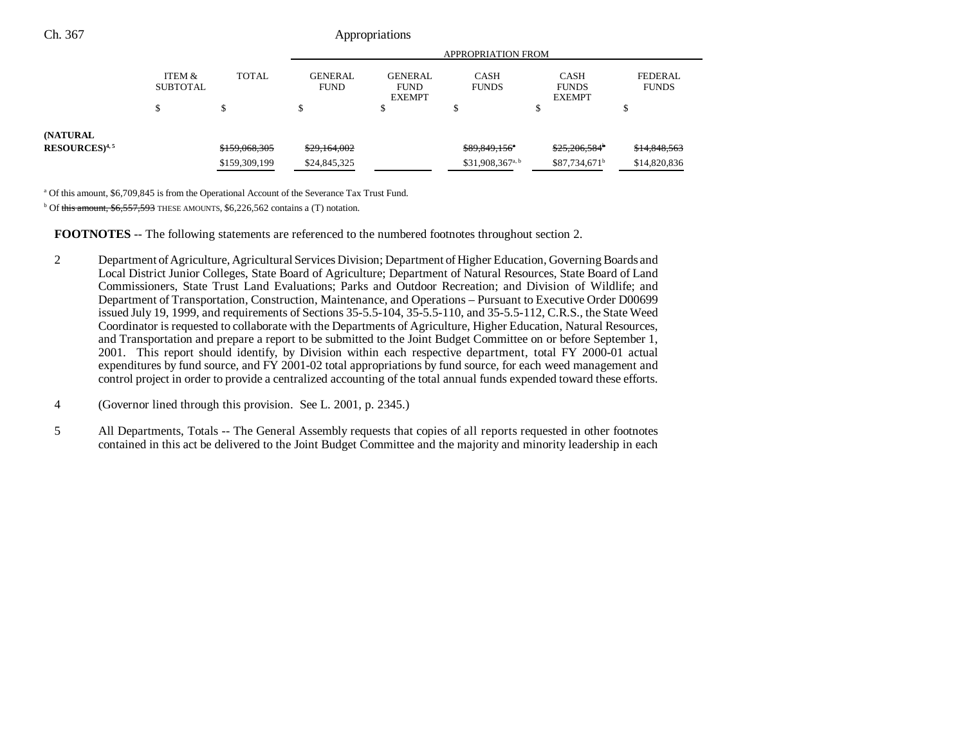| Ch. 367                     | Appropriations            |               |                               |                                                |                              |                                              |                                |  |  |  |
|-----------------------------|---------------------------|---------------|-------------------------------|------------------------------------------------|------------------------------|----------------------------------------------|--------------------------------|--|--|--|
|                             |                           |               | <b>APPROPRIATION FROM</b>     |                                                |                              |                                              |                                |  |  |  |
|                             | ITEM &<br><b>SUBTOTAL</b> | <b>TOTAL</b>  | <b>GENERAL</b><br><b>FUND</b> | <b>GENERAL</b><br><b>FUND</b><br><b>EXEMPT</b> | <b>CASH</b><br><b>FUNDS</b>  | <b>CASH</b><br><b>FUNDS</b><br><b>EXEMPT</b> | <b>FEDERAL</b><br><b>FUNDS</b> |  |  |  |
|                             |                           |               |                               |                                                |                              |                                              | Ф                              |  |  |  |
| (NATURAL                    |                           |               |                               |                                                |                              |                                              |                                |  |  |  |
| $RESOURCES$ <sup>4, 5</sup> |                           | \$159,068,305 | \$29,164,002                  |                                                | \$89,849,156*                | $$25,206,584^{\circ}$                        | \$14,848,563                   |  |  |  |
|                             |                           | \$159,309,199 | \$24,845,325                  |                                                | \$31,908,367 <sup>a, b</sup> | $$87,734,671^b$                              | \$14,820,836                   |  |  |  |

<sup>a</sup> Of this amount, \$6,709,845 is from the Operational Account of the Severance Tax Trust Fund.

 $b$  Of this amount, \$6,557,593 THESE AMOUNTS, \$6,226,562 contains a (T) notation.

**FOOTNOTES** -- The following statements are referenced to the numbered footnotes throughout section 2.

- 2 Department of Agriculture, Agricultural Services Division; Department of Higher Education, Governing Boards and Local District Junior Colleges, State Board of Agriculture; Department of Natural Resources, State Board of Land Commissioners, State Trust Land Evaluations; Parks and Outdoor Recreation; and Division of Wildlife; and Department of Transportation, Construction, Maintenance, and Operations – Pursuant to Executive Order D00699 issued July 19, 1999, and requirements of Sections 35-5.5-104, 35-5.5-110, and 35-5.5-112, C.R.S., the State Weed Coordinator is requested to collaborate with the Departments of Agriculture, Higher Education, Natural Resources, and Transportation and prepare a report to be submitted to the Joint Budget Committee on or before September 1, 2001. This report should identify, by Division within each respective department, total FY 2000-01 actual expenditures by fund source, and FY 2001-02 total appropriations by fund source, for each weed management and control project in order to provide a centralized accounting of the total annual funds expended toward these efforts.
- 4 (Governor lined through this provision. See L. 2001, p. 2345.)
- 5 All Departments, Totals -- The General Assembly requests that copies of all reports requested in other footnotes contained in this act be delivered to the Joint Budget Committee and the majority and minority leadership in each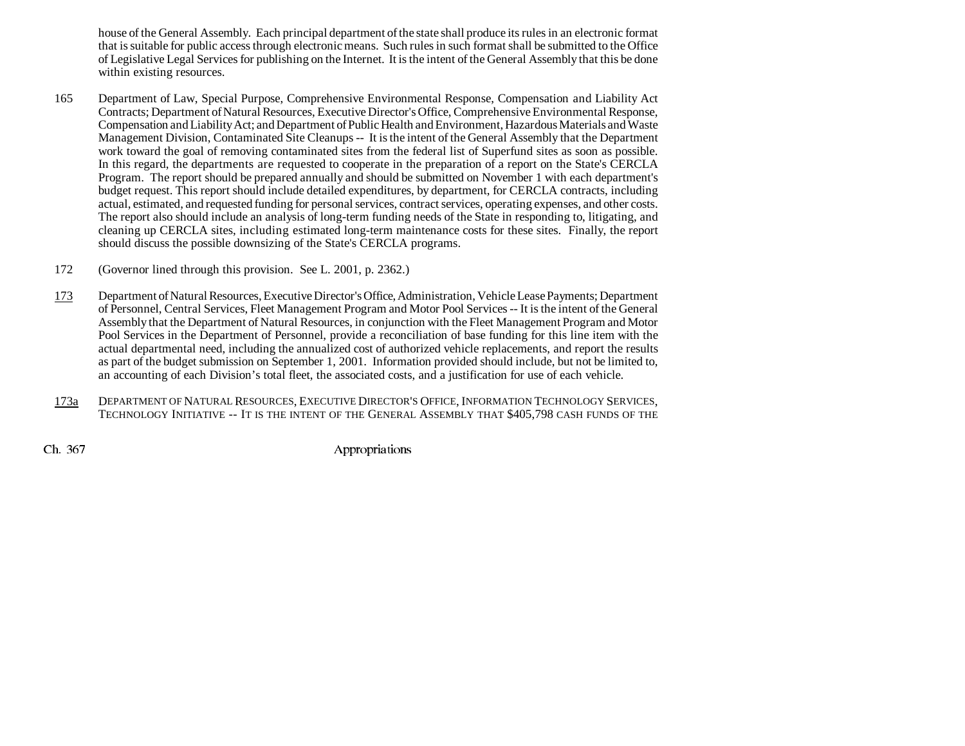house of the General Assembly. Each principal department of the state shall produce its rules in an electronic format that is suitable for public access through electronic means. Such rules in such format shall be submitted to the Office of Legislative Legal Services for publishing on the Internet. It is the intent of the General Assembly that this be done within existing resources.

- 165 Department of Law, Special Purpose, Comprehensive Environmental Response, Compensation and Liability Act Contracts; Department of Natural Resources, Executive Director's Office, Comprehensive Environmental Response, Compensation and Liability Act; and Department of Public Health and Environment, Hazardous Materials and Waste Management Division, Contaminated Site Cleanups -- It is the intent of the General Assembly that the Department work toward the goal of removing contaminated sites from the federal list of Superfund sites as soon as possible. In this regard, the departments are requested to cooperate in the preparation of a report on the State's CERCLA Program. The report should be prepared annually and should be submitted on November 1 with each department's budget request. This report should include detailed expenditures, by department, for CERCLA contracts, including actual, estimated, and requested funding for personal services, contract services, operating expenses, and other costs. The report also should include an analysis of long-term funding needs of the State in responding to, litigating, and cleaning up CERCLA sites, including estimated long-term maintenance costs for these sites. Finally, the report should discuss the possible downsizing of the State's CERCLA programs.
- 172 (Governor lined through this provision. See L. 2001, p. 2362.)
- 173 Department of Natural Resources, Executive Director's Office, Administration, Vehicle Lease Payments; Department of Personnel, Central Services, Fleet Management Program and Motor Pool Services -- It is the intent of the General Assembly that the Department of Natural Resources, in conjunction with the Fleet Management Program and Motor Pool Services in the Department of Personnel, provide a reconciliation of base funding for this line item with the actual departmental need, including the annualized cost of authorized vehicle replacements, and report the results as part of the budget submission on September 1, 2001. Information provided should include, but not be limited to, an accounting of each Division's total fleet, the associated costs, and a justification for use of each vehicle.
- 173a Department of Natural Resources, Executive Director's Office, Information Technology Services, TECHNOLOGY INITIATIVE -- IT IS THE INTENT OF THE GENERAL ASSEMBLY THAT \$405,798 CASH FUNDS OF THE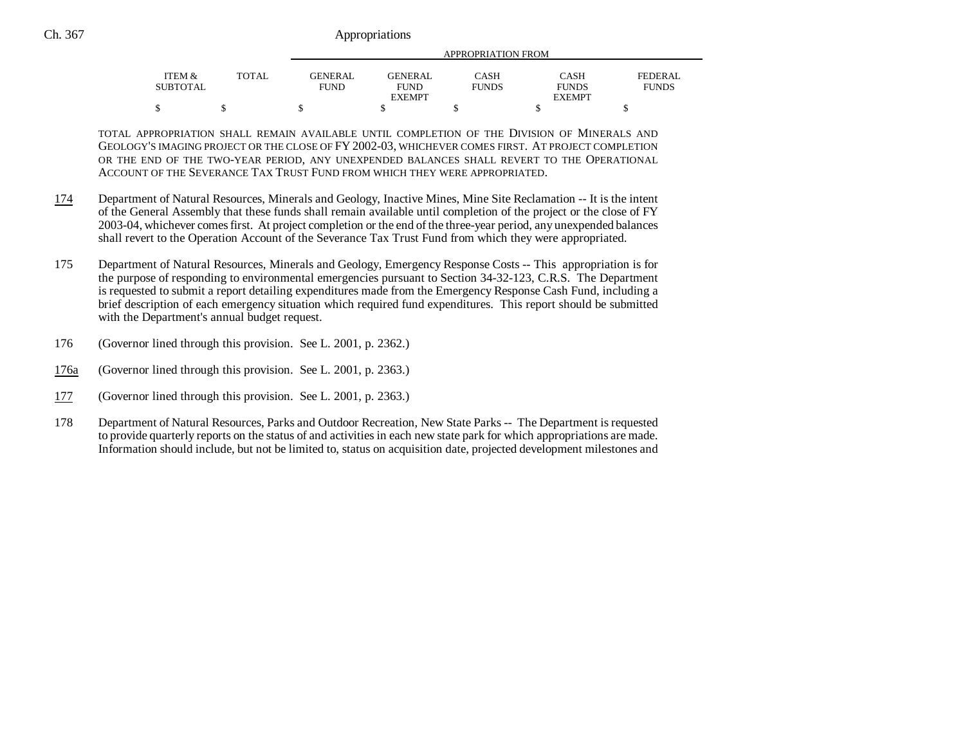|          |       |                | APPROPRIATION FROM |                             |                      |                |  |  |  |
|----------|-------|----------------|--------------------|-----------------------------|----------------------|----------------|--|--|--|
| ITEM &   | TOTAL | <b>GENERAL</b> | <b>GENERAL</b>     |                             |                      | <b>FEDERAL</b> |  |  |  |
| SUBTOTAL |       | <b>FUND</b>    | <b>FUND</b>        | <b>CASH</b><br><b>FUNDS</b> | CASH<br><b>FUNDS</b> | <b>FUNDS</b>   |  |  |  |
|          |       |                | <b>EXEMPT</b>      |                             | <b>EXEMPT</b>        |                |  |  |  |
|          |       |                |                    |                             |                      |                |  |  |  |

TOTAL APPROPRIATION SHALL REMAIN AVAILABLE UNTIL COMPLETION OF THE DIVISION OF MINERALS AND GEOLOGY'S IMAGING PROJECT OR THE CLOSE OF FY 2002-03, WHICHEVER COMES FIRST. AT PROJECT COMPLETION OR THE END OF THE TWO-YEAR PERIOD, ANY UNEXPENDED BALANCES SHALL REVERT TO THE OPERATIONAL ACCOUNT OF THE SEVERANCE TAX TRUST FUND FROM WHICH THEY WERE APPROPRIATED.

- 174 Department of Natural Resources, Minerals and Geology, Inactive Mines, Mine Site Reclamation -- It is the intent of the General Assembly that these funds shall remain available until completion of the project or the close of FY 2003-04, whichever comes first. At project completion or the end of the three-year period, any unexpended balances shall revert to the Operation Account of the Severance Tax Trust Fund from which they were appropriated.
- 175 Department of Natural Resources, Minerals and Geology, Emergency Response Costs -- This appropriation is for the purpose of responding to environmental emergencies pursuant to Section 34-32-123, C.R.S. The Department is requested to submit a report detailing expenditures made from the Emergency Response Cash Fund, including a brief description of each emergency situation which required fund expenditures. This report should be submitted with the Department's annual budget request.
- 176 (Governor lined through this provision. See L. 2001, p. 2362.)
- 176a(Governor lined through this provision. See L. 2001, p. 2363.)
- 177(Governor lined through this provision. See L. 2001, p. 2363.)
- 178 Department of Natural Resources, Parks and Outdoor Recreation, New State Parks -- The Department is requested to provide quarterly reports on the status of and activities in each new state park for which appropriations are made. Information should include, but not be limited to, status on acquisition date, projected development milestones and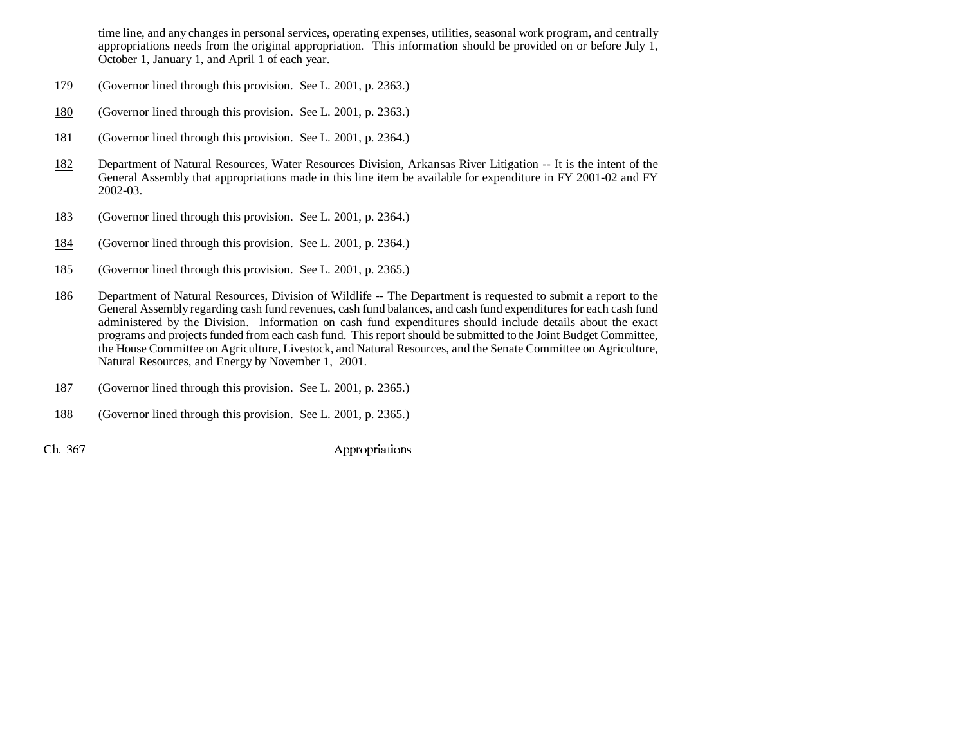time line, and any changes in personal services, operating expenses, utilities, seasonal work program, and centrally appropriations needs from the original appropriation. This information should be provided on or before July 1, October 1, January 1, and April 1 of each year.

- 179 (Governor lined through this provision. See L. 2001, p. 2363.)
- 180(Governor lined through this provision. See L. 2001, p. 2363.)
- 181 (Governor lined through this provision. See L. 2001, p. 2364.)
- 182 Department of Natural Resources, Water Resources Division, Arkansas River Litigation -- It is the intent of the General Assembly that appropriations made in this line item be available for expenditure in FY 2001-02 and FY 2002-03.
- 183(Governor lined through this provision. See L. 2001, p. 2364.)
- 184(Governor lined through this provision. See L. 2001, p. 2364.)
- 185 (Governor lined through this provision. See L. 2001, p. 2365.)
- 186 Department of Natural Resources, Division of Wildlife -- The Department is requested to submit a report to the General Assembly regarding cash fund revenues, cash fund balances, and cash fund expenditures for each cash fund administered by the Division. Information on cash fund expenditures should include details about the exact programs and projects funded from each cash fund. This report should be submitted to the Joint Budget Committee, the House Committee on Agriculture, Livestock, and Natural Resources, and the Senate Committee on Agriculture, Natural Resources, and Energy by November 1, 2001.
- 187(Governor lined through this provision. See L. 2001, p. 2365.)
- 188 (Governor lined through this provision. See L. 2001, p. 2365.)